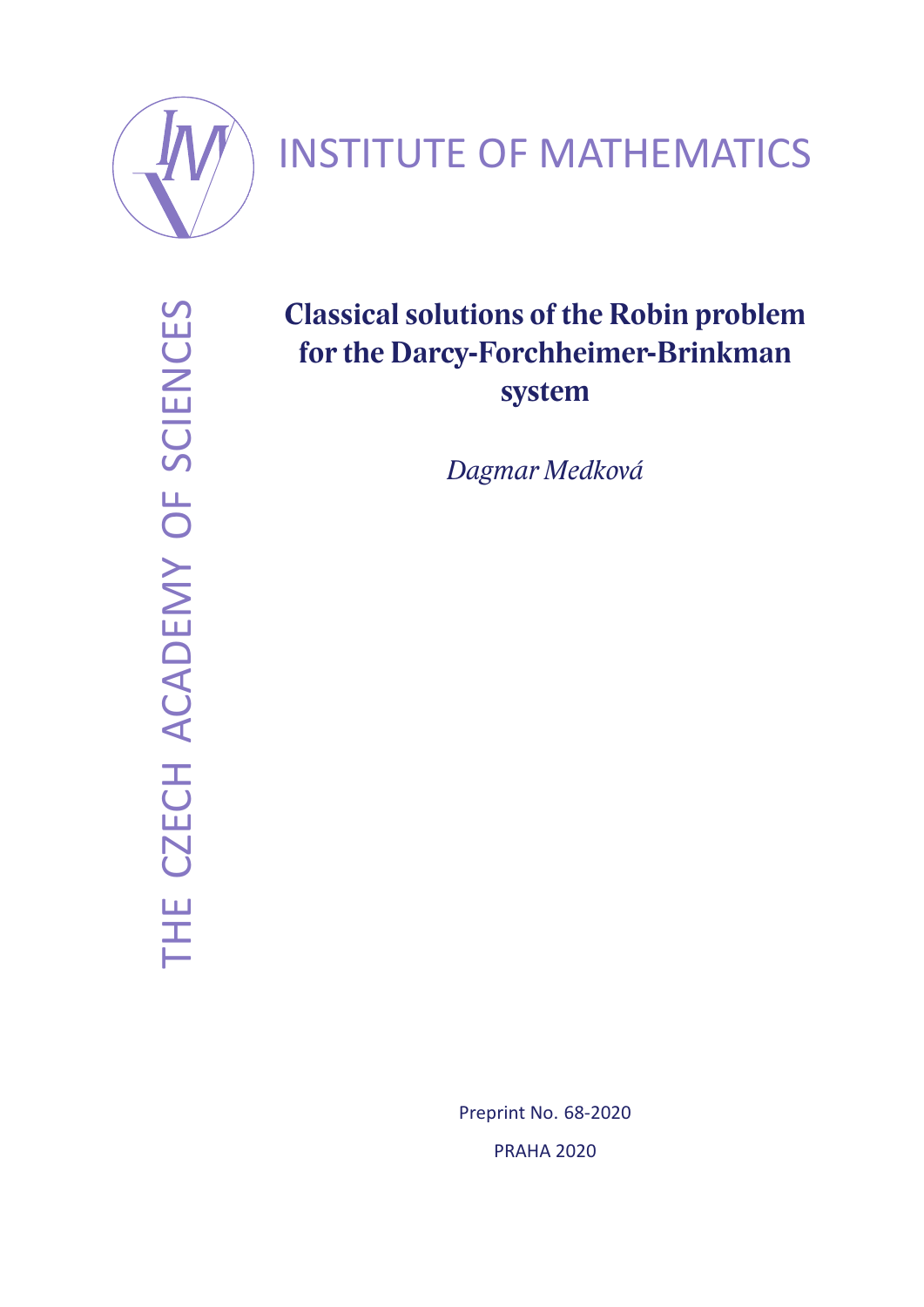

# INSTITUTE OF MATHEMATICS

THE CZECH ACADEMY OF SCIENCES THE CZECH ACADEMY OF SCIENCES

## **Classical solutions of the Robin problem for the Darcy-Forchheimer-Brinkman system**

*Dagmar Medková*

Preprint No. 68-2020 PRAHA 2020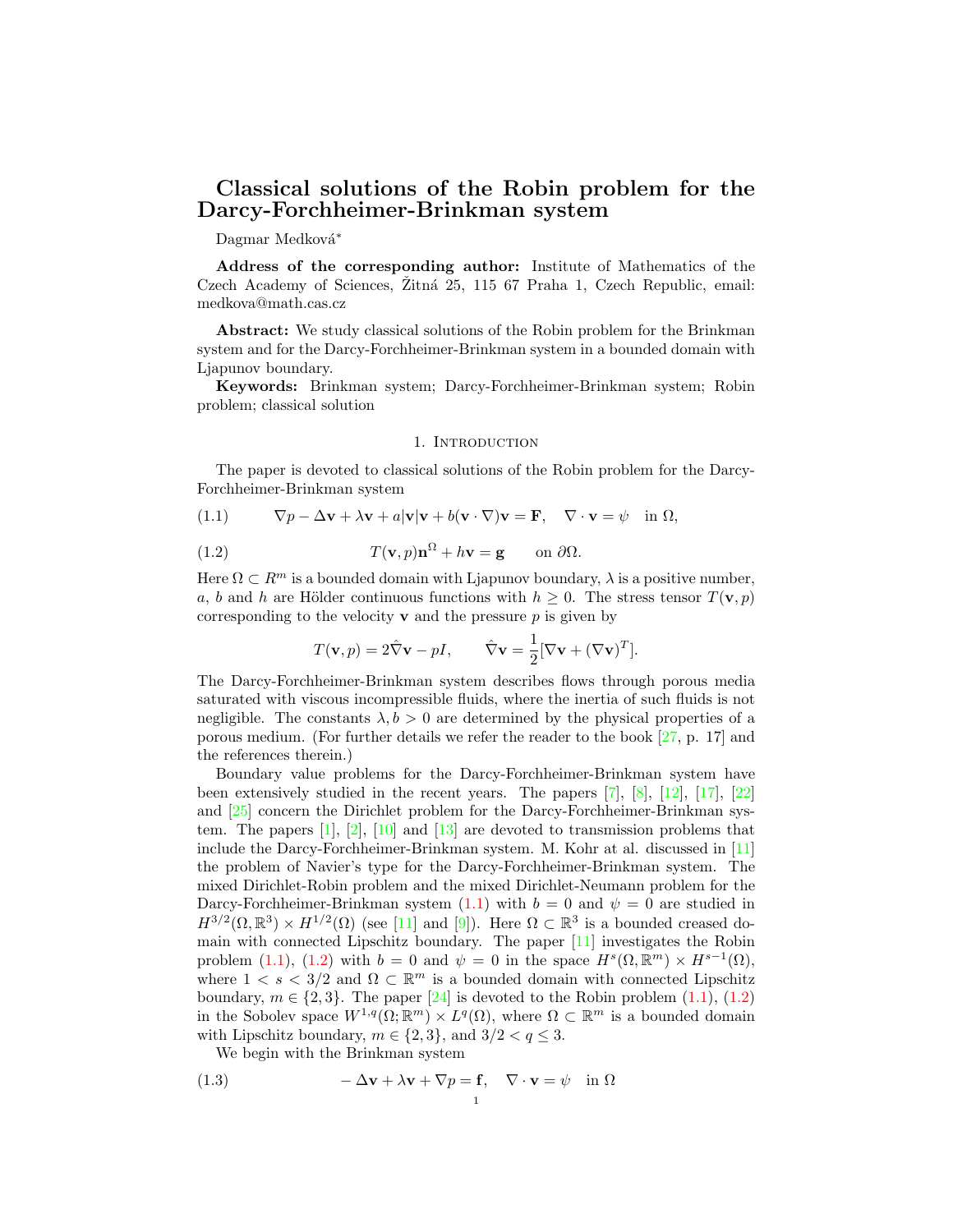### Classical solutions of the Robin problem for the Darcy-Forchheimer-Brinkman system

Dagmar Medková<sup>\*</sup>

Address of the corresponding author: Institute of Mathematics of the Czech Academy of Sciences, Žitná 25, 115 67 Praha 1, Czech Republic, email: medkova@math.cas.cz

Abstract: We study classical solutions of the Robin problem for the Brinkman system and for the Darcy-Forchheimer-Brinkman system in a bounded domain with Ljapunov boundary.

Keywords: Brinkman system; Darcy-Forchheimer-Brinkman system; Robin problem; classical solution

#### 1. INTRODUCTION

The paper is devoted to classical solutions of the Robin problem for the Darcy-Forchheimer-Brinkman system

(1.1) 
$$
\nabla p - \Delta \mathbf{v} + \lambda \mathbf{v} + a|\mathbf{v}|\mathbf{v} + b(\mathbf{v} \cdot \nabla)\mathbf{v} = \mathbf{F}, \quad \nabla \cdot \mathbf{v} = \psi \quad \text{in } \Omega,
$$

(1.2) 
$$
T(\mathbf{v},p)\mathbf{n}^{\Omega} + h\mathbf{v} = \mathbf{g} \quad \text{on } \partial\Omega.
$$

Here  $\Omega \subset \mathbb{R}^m$  is a bounded domain with Ljapunov boundary,  $\lambda$  is a positive number, a, b and h are Hölder continuous functions with  $h \geq 0$ . The stress tensor  $T(\mathbf{v}, p)$ corresponding to the velocity  $\bf{v}$  and the pressure  $p$  is given by

$$
T(\mathbf{v}, p) = 2\hat{\nabla}\mathbf{v} - pI, \qquad \hat{\nabla}\mathbf{v} = \frac{1}{2}[\nabla\mathbf{v} + (\nabla\mathbf{v})^T].
$$

The Darcy-Forchheimer-Brinkman system describes flows through porous media saturated with viscous incompressible fluids, where the inertia of such fluids is not negligible. The constants  $\lambda, b > 0$  are determined by the physical properties of a porous medium. (For further details we refer the reader to the book [27, p. 17] and the references therein.)

Boundary value problems for the Darcy-Forchheimer-Brinkman system have been extensively studied in the recent years. The papers [7], [8], [12], [17], [22] and [25] concern the Dirichlet problem for the Darcy-Forchheimer-Brinkman system. The papers  $[1], [2], [10]$  and  $[13]$  are devoted to transmission problems that include the Darcy-Forchheimer-Brinkman system. M. Kohr at al. discussed in [11] the problem of Navier's type for the Darcy-Forchheimer-Brinkman system. The mixed Dirichlet-Robin problem and the mixed Dirichlet-Neumann problem for the Darcy-Forchheimer-Brinkman system (1.1) with  $b = 0$  and  $\psi = 0$  are studied in  $H^{3/2}(\Omega,\mathbb{R}^3)\times H^{1/2}(\Omega)$  (see [11] and [9]). Here  $\Omega\subset\mathbb{R}^3$  is a bounded creased domain with connected Lipschitz boundary. The paper [11] investigates the Robin problem (1.1), (1.2) with  $b = 0$  and  $\psi = 0$  in the space  $H^s(\Omega, \mathbb{R}^m) \times H^{s-1}(\Omega)$ , where  $1 \lt s \lt 3/2$  and  $\Omega \subset \mathbb{R}^m$  is a bounded domain with connected Lipschitz boundary,  $m \in \{2, 3\}$ . The paper [24] is devoted to the Robin problem (1.1), (1.2) in the Sobolev space  $W^{1,q}(\Omega;\mathbb{R}^m)\times L^q(\Omega)$ , where  $\Omega\subset\mathbb{R}^m$  is a bounded domain with Lipschitz boundary,  $m \in \{2, 3\}$ , and  $3/2 < q \leq 3$ .

We begin with the Brinkman system

(1.3) 
$$
-\Delta \mathbf{v} + \lambda \mathbf{v} + \nabla p = \mathbf{f}, \quad \nabla \cdot \mathbf{v} = \psi \quad \text{in } \Omega
$$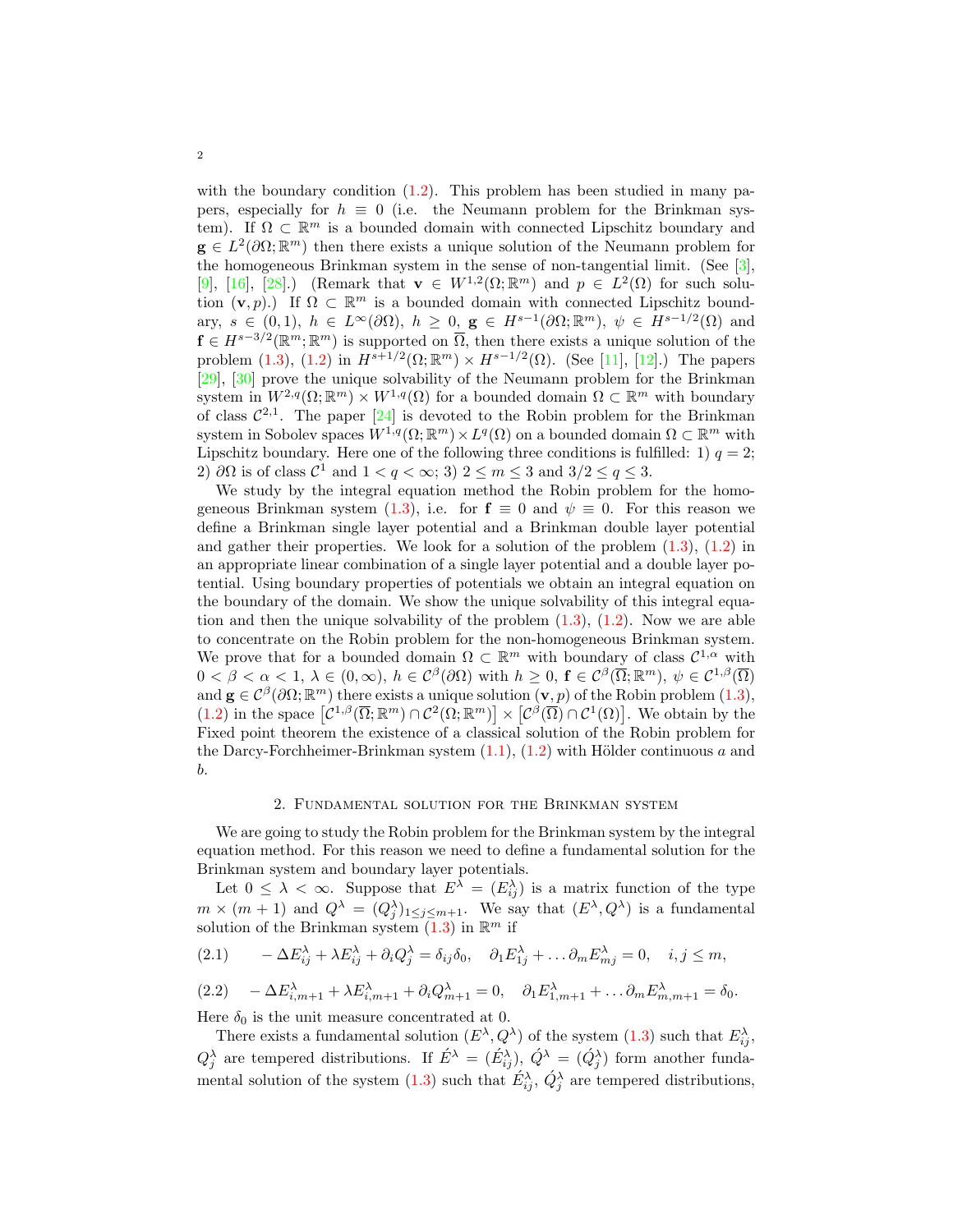with the boundary condition  $(1.2)$ . This problem has been studied in many papers, especially for  $h \equiv 0$  (i.e. the Neumann problem for the Brinkman system). If  $\Omega \subset \mathbb{R}^m$  is a bounded domain with connected Lipschitz boundary and  $\mathbf{g} \in L^2(\partial\Omega;\mathbb{R}^m)$  then there exists a unique solution of the Neumann problem for the homogeneous Brinkman system in the sense of non-tangential limit. (See [3], [9], [16], [28].) (Remark that  $\mathbf{v} \in W^{1,2}(\Omega;\mathbb{R}^m)$  and  $p \in L^2(\Omega)$  for such solution  $(v, p)$ .) If  $\Omega \subset \mathbb{R}^m$  is a bounded domain with connected Lipschitz boundary,  $s \in (0,1)$ ,  $h \in L^{\infty}(\partial \Omega)$ ,  $h \geq 0$ ,  $g \in H^{s-1}(\partial \Omega; \mathbb{R}^m)$ ,  $\psi \in H^{s-1/2}(\Omega)$  and  $f \in H^{s-3/2}(\mathbb{R}^m;\mathbb{R}^m)$  is supported on  $\overline{\Omega}$ , then there exists a unique solution of the problem (1.3), (1.2) in  $H^{s+1/2}(\Omega;\mathbb{R}^m) \times H^{s-1/2}(\Omega)$ . (See [11], [12].) The papers [29], [30] prove the unique solvability of the Neumann problem for the Brinkman system in  $W^{2,q}(\Omega;\mathbb{R}^m) \times W^{1,q}(\Omega)$  for a bounded domain  $\Omega \subset \mathbb{R}^m$  with boundary of class  $\mathcal{C}^{2,1}$ . The paper  $[24]$  is devoted to the Robin problem for the Brinkman system in Sobolev spaces  $W^{1,q}(\Omega;\mathbb{R}^m)\times L^q(\Omega)$  on a bounded domain  $\Omega\subset\mathbb{R}^m$  with Lipschitz boundary. Here one of the following three conditions is fulfilled: 1)  $q = 2$ ; 2)  $\partial\Omega$  is of class  $\mathcal{C}^1$  and  $1 < q < \infty$ ; 3)  $2 \le m \le 3$  and  $3/2 \le q \le 3$ .

We study by the integral equation method the Robin problem for the homogeneous Brinkman system (1.3), i.e. for  $f \equiv 0$  and  $\psi \equiv 0$ . For this reason we define a Brinkman single layer potential and a Brinkman double layer potential and gather their properties. We look for a solution of the problem  $(1.3)$ ,  $(1.2)$  in an appropriate linear combination of a single layer potential and a double layer potential. Using boundary properties of potentials we obtain an integral equation on the boundary of the domain. We show the unique solvability of this integral equation and then the unique solvability of the problem  $(1.3)$ ,  $(1.2)$ . Now we are able to concentrate on the Robin problem for the non-homogeneous Brinkman system. We prove that for a bounded domain  $\Omega \subset \mathbb{R}^m$  with boundary of class  $\mathcal{C}^{1,\alpha}$  with  $0 < \beta < \alpha < 1, \ \lambda \in (0, \infty), \ h \in C^{\beta}(\partial \Omega)$  with  $h \geq 0, \ \mathbf{f} \in C^{\beta}(\overline{\Omega}; \mathbb{R}^m), \ \psi \in C^{1,\beta}(\overline{\Omega})$ and  $\mathbf{g} \in \mathcal{C}^{\beta}(\partial\Omega;\mathbb{R}^m)$  there exists a unique solution  $(\mathbf{v},p)$  of the Robin problem  $(1.3)$ ,  $(1.2)$  in the space  $\left[\mathcal{C}^{1,\beta}(\overline{\Omega};\mathbb{R}^m)\cap\mathcal{C}^2(\Omega;\mathbb{R}^m)\right]\times\left[\mathcal{C}^{\beta}(\overline{\Omega})\cap\mathcal{C}^1(\Omega)\right]$ . We obtain by the Fixed point theorem the existence of a classical solution of the Robin problem for the Darcy-Forchheimer-Brinkman system  $(1.1)$ ,  $(1.2)$  with Hölder continuous a and b.

#### 2. Fundamental solution for the Brinkman system

We are going to study the Robin problem for the Brinkman system by the integral equation method. For this reason we need to define a fundamental solution for the Brinkman system and boundary layer potentials.

Let  $0 \leq \lambda < \infty$ . Suppose that  $E^{\lambda} = (E^{\lambda}_{ij})$  is a matrix function of the type  $m \times (m+1)$  and  $Q^{\lambda} = (Q_j^{\lambda})_{1 \leq j \leq m+1}$ . We say that  $(E^{\lambda}, Q^{\lambda})$  is a fundamental solution of the Brinkman system  $(1.3)$  in  $\mathbb{R}^m$  if

(2.1) 
$$
-\Delta E_{ij}^{\lambda} + \lambda E_{ij}^{\lambda} + \partial_i Q_j^{\lambda} = \delta_{ij} \delta_0, \quad \partial_1 E_{1j}^{\lambda} + \dots \partial_m E_{mj}^{\lambda} = 0, \quad i, j \leq m,
$$

$$
(2.2) \quad -\Delta E_{i,m+1}^{\lambda} + \lambda E_{i,m+1}^{\lambda} + \partial_i Q_{m+1}^{\lambda} = 0, \quad \partial_1 E_{1,m+1}^{\lambda} + \dots \partial_m E_{m,m+1}^{\lambda} = \delta_0.
$$

Here  $\delta_0$  is the unit measure concentrated at 0.

There exists a fundamental solution  $(E^{\lambda}, Q^{\lambda})$  of the system  $(1.3)$  such that  $E^{\lambda}_{ij}$ ,  $Q_j^{\lambda}$  are tempered distributions. If  $\acute{E}^{\lambda} = (\acute{E}_{ij}^{\lambda}), \acute{Q}^{\lambda} = (\acute{Q}_j^{\lambda})$  form another fundamental solution of the system (1.3) such that  $\hat{E}_{ij}^{\lambda}, \hat{Q}_j^{\lambda}$  are tempered distributions,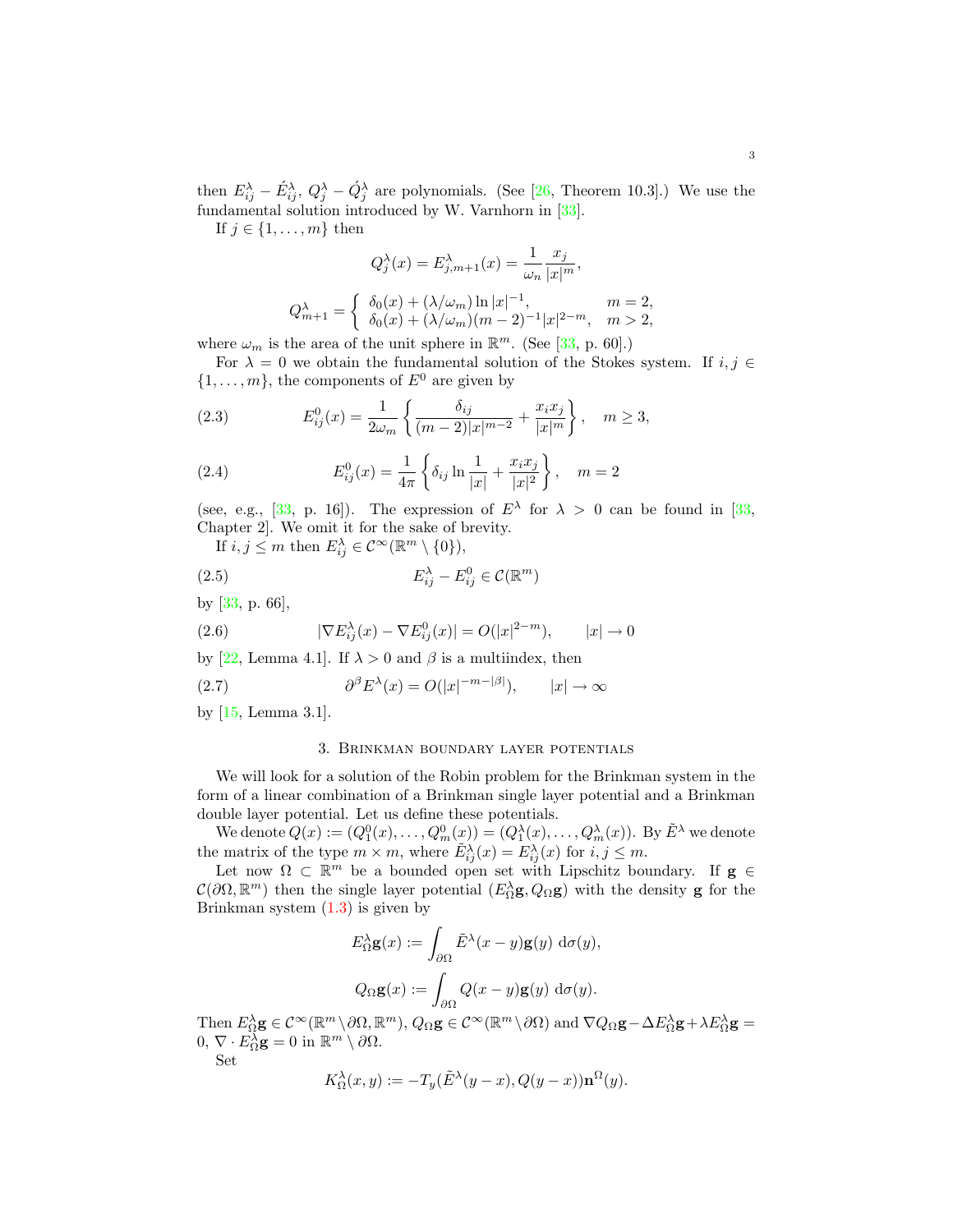then  $E_{ij}^{\lambda} - \acute{E}_{ij}^{\lambda}, Q_j^{\lambda} - \acute{Q}_j^{\lambda}$  are polynomials. (See [26, Theorem 10.3].) We use the fundamental solution introduced by W. Varnhorn in [33].

If  $j \in \{1, \ldots, m\}$  then

$$
Q_j^{\lambda}(x) = E_{j,m+1}^{\lambda}(x) = \frac{1}{\omega_n} \frac{x_j}{|x|^m},
$$
  
\n
$$
Q_{m+1}^{\lambda} = \begin{cases} \delta_0(x) + (\lambda/\omega_m) \ln |x|^{-1}, & m = 2, \\ \delta_0(x) + (\lambda/\omega_m)(m-2)^{-1}|x|^{2-m}, & m > 2, \end{cases}
$$

where  $\omega_m$  is the area of the unit sphere in  $\mathbb{R}^m$ . (See [33, p. 60].)

For  $\lambda = 0$  we obtain the fundamental solution of the Stokes system. If  $i, j \in$  $\{1, \ldots, m\}$ , the components of  $E^0$  are given by

(2.3) 
$$
E_{ij}^0(x) = \frac{1}{2\omega_m} \left\{ \frac{\delta_{ij}}{(m-2)|x|^{m-2}} + \frac{x_i x_j}{|x|^m} \right\}, \quad m \ge 3,
$$

(2.4) 
$$
E_{ij}^0(x) = \frac{1}{4\pi} \left\{ \delta_{ij} \ln \frac{1}{|x|} + \frac{x_i x_j}{|x|^2} \right\}, \quad m = 2
$$

(see, e.g., [33, p. 16]). The expression of  $E^{\lambda}$  for  $\lambda > 0$  can be found in [33, Chapter 2]. We omit it for the sake of brevity.

If  $i, j \leq m$  then  $E_{ij}^{\lambda} \in C^{\infty}(\mathbb{R}^m \setminus \{0\}),$ 

(2.5) 
$$
E_{ij}^{\lambda} - E_{ij}^{0} \in \mathcal{C}(\mathbb{R}^{m})
$$

by [33, p. 66],

(2.6) 
$$
|\nabla E_{ij}^{\lambda}(x) - \nabla E_{ij}^{0}(x)| = O(|x|^{2-m}), \qquad |x| \to 0
$$

by [22, Lemma 4.1]. If  $\lambda > 0$  and  $\beta$  is a multiindex, then

(2.7) 
$$
\partial^{\beta} E^{\lambda}(x) = O(|x|^{-m-|\beta|}), \qquad |x| \to \infty
$$

by [15, Lemma 3.1].

#### 3. Brinkman boundary layer potentials

We will look for a solution of the Robin problem for the Brinkman system in the form of a linear combination of a Brinkman single layer potential and a Brinkman double layer potential. Let us define these potentials.

We denote  $Q(x) := (Q_1^0(x), \ldots, Q_m^0(x)) = (Q_1^{\lambda}(x), \ldots, Q_m^{\lambda}(x))$ . By  $\tilde{E}^{\lambda}$  we denote the matrix of the type  $m \times m$ , where  $\tilde{E}_{ij}^{\lambda}(x) = E_{ij}^{\lambda}(x)$  for  $i, j \leq m$ .

Let now  $\Omega \subset \mathbb{R}^m$  be a bounded open set with Lipschitz boundary. If  $g \in$  $\mathcal{C}(\partial\Omega,\mathbb{R}^m)$  then the single layer potential  $(E_{\Omega}^{\lambda}\mathbf{g},Q_{\Omega}\mathbf{g})$  with the density **g** for the Brinkman system  $(1.3)$  is given by

$$
E_{\Omega}^{\lambda} \mathbf{g}(x) := \int_{\partial \Omega} \tilde{E}^{\lambda}(x - y) \mathbf{g}(y) d\sigma(y),
$$
  

$$
Q_{\Omega} \mathbf{g}(x) := \int_{\partial \Omega} Q(x - y) \mathbf{g}(y) d\sigma(y).
$$

Then  $E_{\Omega}^{\lambda} \mathbf{g} \in C^{\infty}(\mathbb{R}^m \setminus \partial \Omega, \mathbb{R}^m)$ ,  $Q_{\Omega} \mathbf{g} \in C^{\infty}(\mathbb{R}^m \setminus \partial \Omega)$  and  $\nabla Q_{\Omega} \mathbf{g} - \Delta E_{\Omega}^{\lambda} \mathbf{g} + \lambda E_{\Omega}^{\lambda} \mathbf{g} =$  $0, \nabla \cdot E_{\Omega}^{\lambda} \mathbf{g} = 0$  in  $\mathbb{R}^m \setminus \partial \Omega$ .

Set

$$
K_{\Omega}^{\lambda}(x,y) := -T_y(\tilde{E}^{\lambda}(y-x), Q(y-x))\mathbf{n}^{\Omega}(y).
$$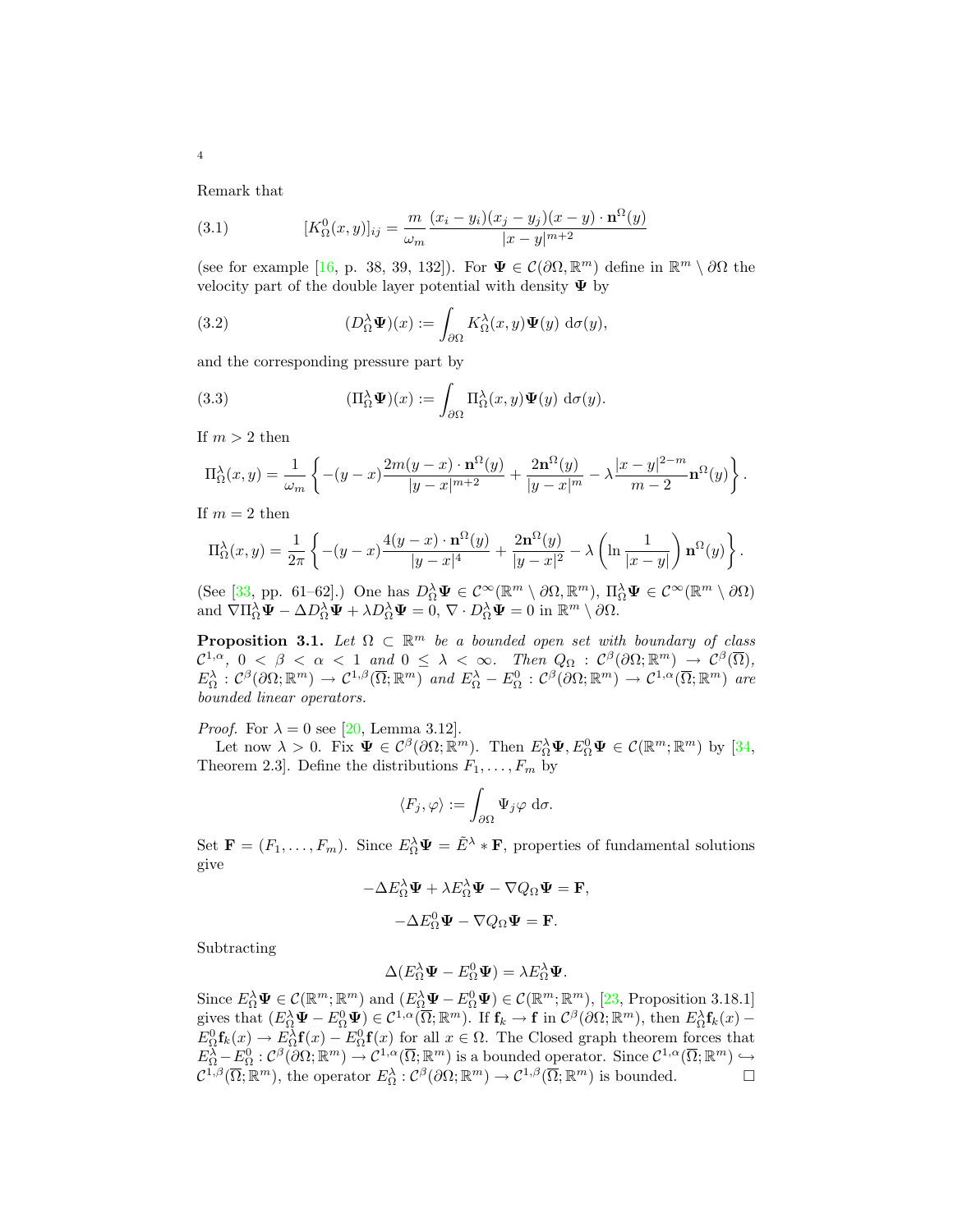Remark that

(3.1) 
$$
[K_{\Omega}^{0}(x,y)]_{ij} = \frac{m}{\omega_{m}} \frac{(x_{i} - y_{i})(x_{j} - y_{j})(x - y) \cdot \mathbf{n}^{\Omega}(y)}{|x - y|^{m+2}}
$$

(see for example [16, p. 38, 39, 132]). For  $\Psi \in \mathcal{C}(\partial\Omega,\mathbb{R}^m)$  define in  $\mathbb{R}^m \setminus \partial\Omega$  the velocity part of the double layer potential with density  $\Psi$  by

(3.2) 
$$
(D_{\Omega}^{\lambda} \Psi)(x) := \int_{\partial \Omega} K_{\Omega}^{\lambda}(x, y) \Psi(y) d\sigma(y),
$$

and the corresponding pressure part by

(3.3) 
$$
(\Pi_{\Omega}^{\lambda} \Psi)(x) := \int_{\partial \Omega} \Pi_{\Omega}^{\lambda}(x, y) \Psi(y) d\sigma(y).
$$

If  $m > 2$  then

$$
\Pi_{\Omega}^{\lambda}(x,y) = \frac{1}{\omega_m} \left\{ -(y-x) \frac{2m(y-x) \cdot \mathbf{n}^{\Omega}(y)}{|y-x|^{m+2}} + \frac{2\mathbf{n}^{\Omega}(y)}{|y-x|^m} - \lambda \frac{|x-y|^{2-m}}{m-2} \mathbf{n}^{\Omega}(y) \right\}.
$$

If  $m = 2$  then

$$
\Pi_{\Omega}^{\lambda}(x,y) = \frac{1}{2\pi} \left\{ -(y-x) \frac{4(y-x) \cdot \mathbf{n}^{\Omega}(y)}{|y-x|^4} + \frac{2\mathbf{n}^{\Omega}(y)}{|y-x|^2} - \lambda \left( \ln \frac{1}{|x-y|} \right) \mathbf{n}^{\Omega}(y) \right\}.
$$

(See [33, pp. 61–62].) One has  $D_{\Omega}^{\lambda} \Psi \in C^{\infty}(\mathbb{R}^m \setminus \partial \Omega, \mathbb{R}^m)$ ,  $\Pi_{\Omega}^{\lambda} \Psi \in C^{\infty}(\mathbb{R}^m \setminus \partial \Omega)$ and  $\nabla \Pi_{\Omega}^{\lambda} \Psi - \Delta D_{\Omega}^{\lambda} \Psi + \lambda D_{\Omega}^{\lambda} \Psi = 0$ ,  $\nabla \cdot D_{\Omega}^{\lambda} \Psi = 0$  in  $\mathbb{R}^m \setminus \partial \Omega$ .

**Proposition 3.1.** Let  $\Omega \subset \mathbb{R}^m$  be a bounded open set with boundary of class  $\mathcal{C}^{1,\alpha},\ 0\ <\ \beta\ <\ \alpha\ <\ 1\ \ and\ 0\ \leq\ \lambda\ <\ \infty.\quad \textit{Then}\ \ Q_{\Omega}\ :\ \mathcal{C}^{\beta}(\partial\Omega;\mathbb{R}^m)\ \to\ \mathcal{C}^{\beta}(\overline{\Omega}),$  $E_{\Omega}^{\lambda} : C^{\beta}(\partial\Omega;\mathbb{R}^m) \to C^{1,\beta}(\overline{\Omega};\mathbb{R}^m)$  and  $E_{\Omega}^{\lambda} - E_{\Omega}^0 : C^{\beta}(\partial\Omega;\mathbb{R}^m) \to C^{1,\alpha}(\overline{\Omega};\mathbb{R}^m)$  are bounded linear operators.

*Proof.* For  $\lambda = 0$  see [20, Lemma 3.12].

Let now  $\lambda > 0$ . Fix  $\Psi \in C^{\beta}(\partial \Omega; \mathbb{R}^m)$ . Then  $E_{\Omega}^{\lambda} \Psi, E_{\Omega}^0 \Psi \in C(\mathbb{R}^m; \mathbb{R}^m)$  by [34, Theorem 2.3. Define the distributions  $F_1, \ldots, F_m$  by

$$
\langle F_j, \varphi \rangle := \int_{\partial \Omega} \Psi_j \varphi \, \mathrm{d}\sigma.
$$

Set  $\mathbf{F} = (F_1, \ldots, F_m)$ . Since  $E_{\Omega}^{\lambda} \Psi = \tilde{E}^{\lambda} * \mathbf{F}$ , properties of fundamental solutions give

$$
-\Delta E_{\Omega}^{\lambda} \Psi + \lambda E_{\Omega}^{\lambda} \Psi - \nabla Q_{\Omega} \Psi = \mathbf{F},
$$

$$
-\Delta E_{\Omega}^0 \Psi - \nabla Q_{\Omega} \Psi = \mathbf{F}.
$$

Subtracting

$$
\Delta(E_{\Omega}^{\lambda}\Psi - E_{\Omega}^{0}\Psi) = \lambda E_{\Omega}^{\lambda}\Psi.
$$

Since  $E_{\Omega}^{\lambda} \Psi \in \mathcal{C}(\mathbb{R}^m; \mathbb{R}^m)$  and  $(E_{\Omega}^{\lambda} \Psi - E_{\Omega}^0 \Psi) \in \mathcal{C}(\mathbb{R}^m; \mathbb{R}^m)$ , [23, Proposition 3.18.1] gives that  $(E_{\Omega}^{\lambda} \Psi - E_{\Omega}^0 \Psi) \in C^{1,\alpha}(\overline{\Omega}; \mathbb{R}^m)$ . If  $\mathbf{f}_k \to \mathbf{f}$  in  $C^{\beta}(\partial \Omega; \mathbb{R}^m)$ , then  $E_{\Omega}^{\lambda} \mathbf{f}_k(x)$  –  $E_{\Omega}^{0}$ **f**<sub>k</sub>(x)  $\to E_{\Omega}^{\lambda}$ **f**(x)  $-E_{\Omega}^{0}$ **f**(x) for all  $x \in \Omega$ . The Closed graph theorem forces that  $E_{\Omega}^{\lambda} - E_{\Omega}^0 : C^{\beta}(\partial\Omega;\mathbb{R}^m) \to C^{1,\alpha}(\overline{\Omega};\mathbb{R}^m)$  is a bounded operator. Since  $C^{1,\alpha}(\overline{\Omega};\mathbb{R}^m) \hookrightarrow$  $\mathcal{C}^{1,\beta}(\overline{\Omega};\mathbb{R}^m)$ , the operator  $E_{\Omega}^{\lambda} : \mathcal{C}^{\beta}(\partial\Omega;\mathbb{R}^m) \to \mathcal{C}^{1,\beta}(\overline{\Omega};\mathbb{R}^m)$  is bounded.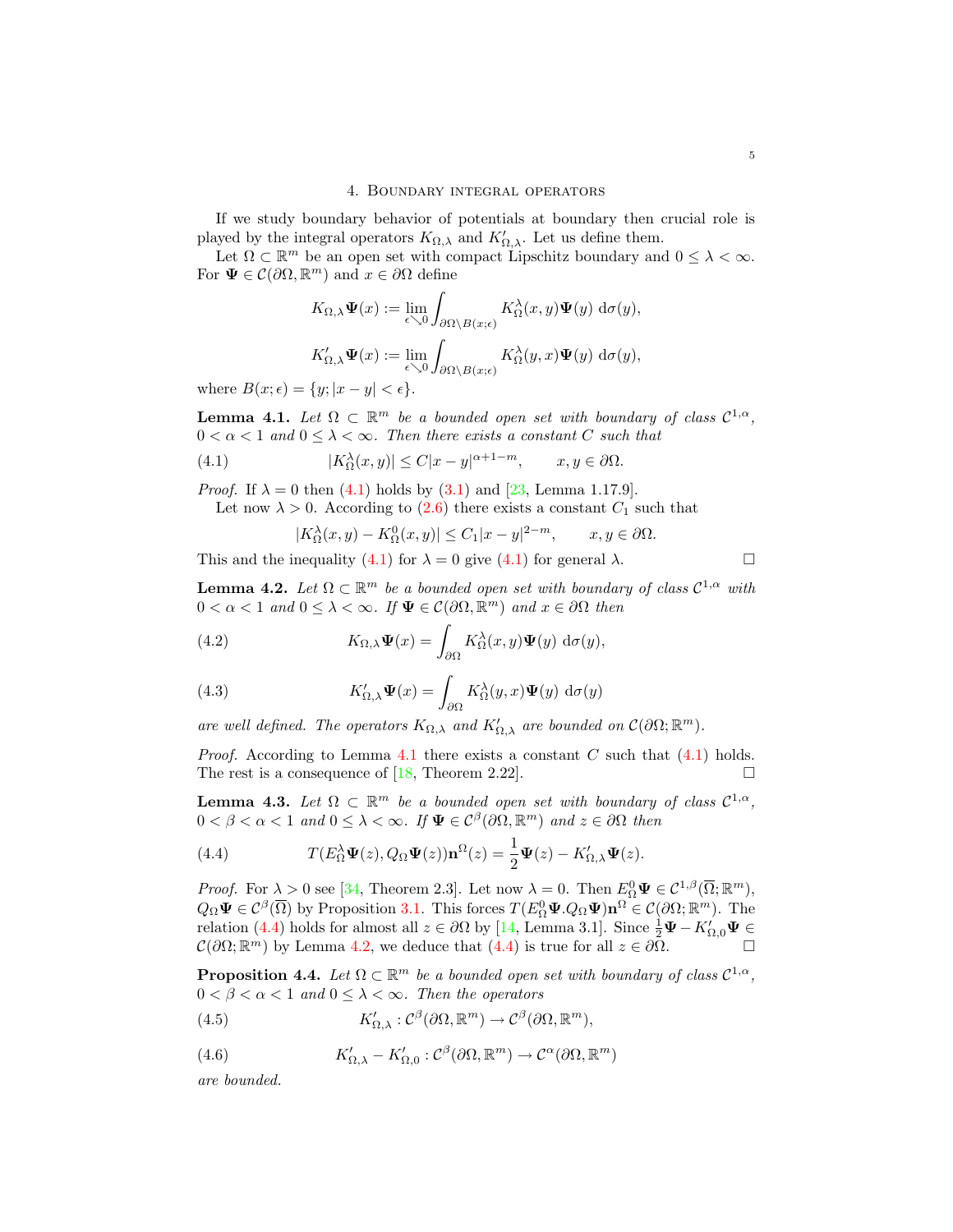If we study boundary behavior of potentials at boundary then crucial role is played by the integral operators  $K_{\Omega,\lambda}$  and  $K'_{\Omega,\lambda}$ . Let us define them.

Let  $\Omega \subset \mathbb{R}^m$  be an open set with compact Lipschitz boundary and  $0 \leq \lambda < \infty$ . For  $\Psi \in \mathcal{C}(\partial \Omega, \mathbb{R}^m)$  and  $x \in \partial \Omega$  define

$$
K_{\Omega,\lambda}\Psi(x) := \lim_{\epsilon \searrow 0} \int_{\partial\Omega \setminus B(x;\epsilon)} K_{\Omega}^{\lambda}(x,y)\Psi(y) d\sigma(y),
$$
  

$$
K'_{\Omega,\lambda}\Psi(x) := \lim_{\epsilon \searrow 0} \int_{\partial\Omega \setminus B(x;\epsilon)} K_{\Omega}^{\lambda}(y,x)\Psi(y) d\sigma(y),
$$

where  $B(x; \epsilon) = \{y; |x - y| < \epsilon\}.$ 

**Lemma 4.1.** Let  $\Omega \subset \mathbb{R}^m$  be a bounded open set with boundary of class  $\mathcal{C}^{1,\alpha}$ ,  $0 < \alpha < 1$  and  $0 \leq \lambda < \infty$ . Then there exists a constant C such that

(4.1) 
$$
|K_{\Omega}^{\lambda}(x,y)| \leq C|x-y|^{\alpha+1-m}, \qquad x, y \in \partial \Omega.
$$

*Proof.* If  $\lambda = 0$  then (4.1) holds by (3.1) and [23, Lemma 1.17.9].

Let now  $\lambda > 0$ . According to (2.6) there exists a constant  $C_1$  such that

$$
|K_{\Omega}^{\lambda}(x,y) - K_{\Omega}^{0}(x,y)| \leq C_{1}|x-y|^{2-m}, \qquad x, y \in \partial \Omega.
$$

This and the inequality (4.1) for  $\lambda = 0$  give (4.1) for general  $\lambda$ .

**Lemma 4.2.** Let  $\Omega \subset \mathbb{R}^m$  be a bounded open set with boundary of class  $\mathcal{C}^{1,\alpha}$  with  $0 < \alpha < 1$  and  $0 \leq \lambda < \infty$ . If  $\Psi \in C(\partial\Omega, \mathbb{R}^m)$  and  $x \in \partial\Omega$  then

(4.2) 
$$
K_{\Omega,\lambda}\Psi(x) = \int_{\partial\Omega} K_{\Omega}^{\lambda}(x,y)\Psi(y) d\sigma(y),
$$

(4.3) 
$$
K'_{\Omega,\lambda}\Psi(x) = \int_{\partial\Omega} K^{\lambda}_{\Omega}(y,x)\Psi(y) d\sigma(y)
$$

are well defined. The operators  $K_{\Omega,\lambda}$  and  $K'_{\Omega,\lambda}$  are bounded on  $\mathcal{C}(\partial\Omega;\mathbb{R}^m)$ .

*Proof.* According to Lemma 4.1 there exists a constant C such that  $(4.1)$  holds. The rest is a consequence of [18, Theorem 2.22].

**Lemma 4.3.** Let  $\Omega \subset \mathbb{R}^m$  be a bounded open set with boundary of class  $\mathcal{C}^{1,\alpha}$ ,  $0 < \beta < \alpha < 1$  and  $0 \leq \lambda < \infty$ . If  $\Psi \in C^{\beta}(\partial \Omega, \mathbb{R}^m)$  and  $z \in \partial \Omega$  then

(4.4) 
$$
T(E_{\Omega}^{\lambda}\Psi(z),Q_{\Omega}\Psi(z))\mathbf{n}^{\Omega}(z)=\frac{1}{2}\Psi(z)-K'_{\Omega,\lambda}\Psi(z).
$$

*Proof.* For  $\lambda > 0$  see [34, Theorem 2.3]. Let now  $\lambda = 0$ . Then  $E_{\Omega}^0 \Psi \in C^{1,\beta}(\overline{\Omega}; \mathbb{R}^m)$ ,  $Q_{\Omega}\Psi \in \mathcal{C}^{\beta}(\overline{\Omega})$  by Proposition 3.1. This forces  $T(E_{\Omega}^{0}\Psi, Q_{\Omega}\Psi)\mathbf{n}^{\Omega} \in \mathcal{C}(\partial\Omega; \mathbb{R}^m)$ . The relation (4.4) holds for almost all  $z \in \partial \Omega$  by [14, Lemma 3.1]. Since  $\frac{1}{2}\Psi - K'_{\Omega,0}\Psi \in$  $\mathcal{C}(\partial\Omega;\mathbb{R}^m)$  by Lemma 4.2, we deduce that  $(4.4)$  is true for all  $z \in \partial\overline{\Omega}$ .

**Proposition 4.4.** Let  $\Omega \subset \mathbb{R}^m$  be a bounded open set with boundary of class  $\mathcal{C}^{1,\alpha}$ ,  $0 < \beta < \alpha < 1$  and  $0 \leq \lambda < \infty$ . Then the operators

(4.5) 
$$
K'_{\Omega,\lambda}: \mathcal{C}^{\beta}(\partial\Omega, \mathbb{R}^m) \to \mathcal{C}^{\beta}(\partial\Omega, \mathbb{R}^m),
$$

(4.6) 
$$
K'_{\Omega,\lambda} - K'_{\Omega,0} : \mathcal{C}^{\beta}(\partial\Omega,\mathbb{R}^m) \to \mathcal{C}^{\alpha}(\partial\Omega,\mathbb{R}^m)
$$

are bounded.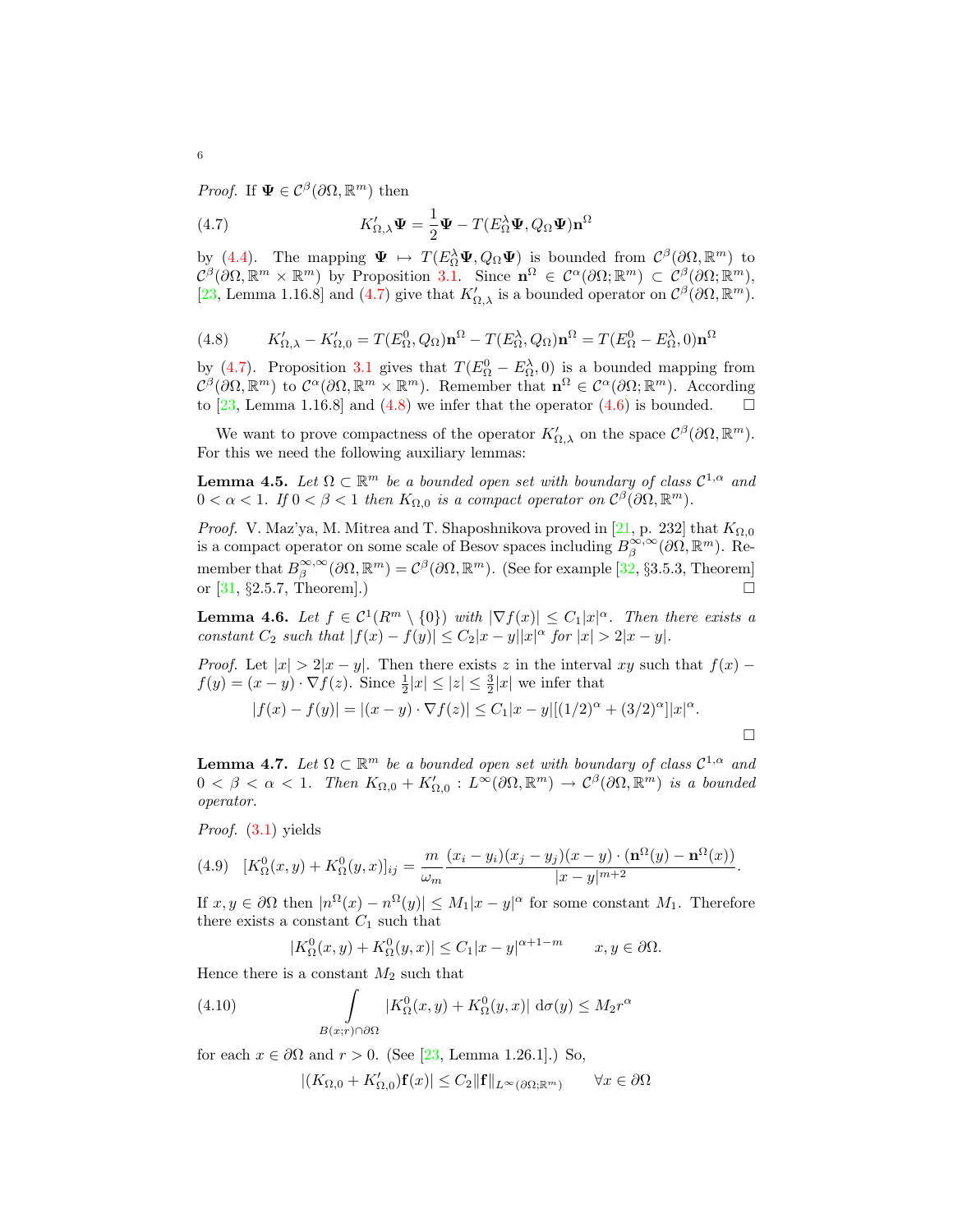*Proof.* If  $\Psi \in C^{\beta}(\partial \Omega, \mathbb{R}^m)$  then

(4.7) 
$$
K'_{\Omega,\lambda} \Psi = \frac{1}{2} \Psi - T(E_{\Omega}^{\lambda} \Psi, Q_{\Omega} \Psi) \mathbf{n}^{\Omega}
$$

by (4.4). The mapping  $\Psi \mapsto T(E_{\Omega}^{\lambda} \Psi, Q_{\Omega} \Psi)$  is bounded from  $\mathcal{C}^{\beta}(\partial \Omega, \mathbb{R}^m)$  to  $\mathcal{C}^{\beta}(\partial\Omega,\mathbb{R}^m\times\mathbb{R}^m)$  by Proposition 3.1. Since  $\mathbf{n}^{\Omega}\in\mathcal{C}^{\alpha}(\partial\Omega;\mathbb{R}^m)\subset\mathcal{C}^{\beta}(\partial\Omega;\mathbb{R}^m)$ , [23, Lemma 1.16.8] and (4.7) give that  $K'_{\Omega,\lambda}$  is a bounded operator on  $\mathcal{C}^{\beta}(\partial\Omega,\mathbb{R}^m)$ .

(4.8) 
$$
K'_{\Omega,\lambda} - K'_{\Omega,0} = T(E^0_{\Omega}, Q_{\Omega}) \mathbf{n}^{\Omega} - T(E^{\lambda}_{\Omega}, Q_{\Omega}) \mathbf{n}^{\Omega} = T(E^0_{\Omega} - E^{\lambda}_{\Omega}, 0) \mathbf{n}^{\Omega}
$$

by (4.7). Proposition 3.1 gives that  $T(E_{\Omega}^0 - E_{\Omega}^{\lambda}, 0)$  is a bounded mapping from  $\mathcal{C}^{\beta}(\partial\Omega,\mathbb{R}^m)$  to  $\mathcal{C}^{\alpha}(\partial\Omega,\mathbb{R}^m\times\mathbb{R}^m)$ . Remember that  $\mathbf{n}^{\Omega}\in\mathcal{C}^{\alpha}(\partial\Omega,\mathbb{R}^m)$ . According to [23, Lemma 1.16.8] and (4.8) we infer that the operator (4.6) is bounded.  $\square$ 

We want to prove compactness of the operator  $K'_{\Omega,\lambda}$  on the space  $\mathcal{C}^{\beta}(\partial\Omega,\mathbb{R}^m)$ . For this we need the following auxiliary lemmas:

**Lemma 4.5.** Let  $\Omega \subset \mathbb{R}^m$  be a bounded open set with boundary of class  $\mathcal{C}^{1,\alpha}$  and  $0 < \alpha < 1$ . If  $0 < \beta < 1$  then  $K_{\Omega,0}$  is a compact operator on  $C^{\beta}(\partial \Omega, \mathbb{R}^m)$ .

*Proof.* V. Maz'ya, M. Mitrea and T. Shaposhnikova proved in [21, p. 232] that  $K_{\Omega,0}$ is a compact operator on some scale of Besov spaces including  $B^{\infty,\infty}_{\beta}(\partial\Omega,\mathbb{R}^m)$ . Remember that  $B^{\infty,\infty}_{\beta}(\partial\Omega,\mathbb{R}^m) = C^{\beta}(\partial\Omega,\mathbb{R}^m)$ . (See for example [32, §3.5.3, Theorem] or  $[31, §2.5.7, Theorem].$ 

**Lemma 4.6.** Let  $f \in C^1(R^m \setminus \{0\})$  with  $|\nabla f(x)| \leq C_1 |x|^{\alpha}$ . Then there exists a constant  $C_2$  such that  $|f(x) - f(y)| \leq C_2 |x - y||x|^{\alpha}$  for  $|x| > 2|x - y|$ .

*Proof.* Let  $|x| > 2|x - y|$ . Then there exists z in the interval xy such that  $f(x)$  –  $f(y) = (x - y) \cdot \nabla f(z)$ . Since  $\frac{1}{2}|x| \le |z| \le \frac{3}{2}|x|$  we infer that

$$
|f(x) - f(y)| = |(x - y) \cdot \nabla f(z)| \le C_1 |x - y| [(1/2)^{\alpha} + (3/2)^{\alpha}] |x|^{\alpha}.
$$

**Lemma 4.7.** Let  $\Omega \subset \mathbb{R}^m$  be a bounded open set with boundary of class  $\mathcal{C}^{1,\alpha}$  and  $0 < \beta < \alpha < 1$ . Then  $K_{\Omega,0} + K'_{\Omega,0} : L^{\infty}(\partial\Omega,\mathbb{R}^m) \to C^{\beta}(\partial\Omega,\mathbb{R}^m)$  is a bounded operator.

Proof. (3.1) yields

(4.9) 
$$
[K_{\Omega}^{0}(x,y) + K_{\Omega}^{0}(y,x)]_{ij} = \frac{m}{\omega_{m}} \frac{(x_{i} - y_{i})(x_{j} - y_{j})(x - y) \cdot (\mathbf{n}^{\Omega}(y) - \mathbf{n}^{\Omega}(x))}{|x - y|^{m+2}}.
$$

If  $x, y \in \partial\Omega$  then  $|n^{\Omega}(x) - n^{\Omega}(y)| \leq M_1 |x - y|^{\alpha}$  for some constant  $M_1$ . Therefore there exists a constant  $C_1$  such that

$$
|K_{\Omega}^{0}(x,y) + K_{\Omega}^{0}(y,x)| \leq C_{1}|x-y|^{\alpha+1-m} \qquad x, y \in \partial \Omega.
$$

Hence there is a constant  $M_2$  such that

(4.10) 
$$
\int_{B(x;r)\cap\partial\Omega} |K_{\Omega}^{0}(x,y) + K_{\Omega}^{0}(y,x)| d\sigma(y) \leq M_{2}r^{\alpha}
$$

for each  $x \in \partial\Omega$  and  $r > 0$ . (See [23, Lemma 1.26.1].) So,

$$
|(K_{\Omega,0} + K'_{\Omega,0})\mathbf{f}(x)| \le C_2 \|\mathbf{f}\|_{L^\infty(\partial\Omega; \mathbb{R}^m)} \qquad \forall x \in \partial\Omega
$$

6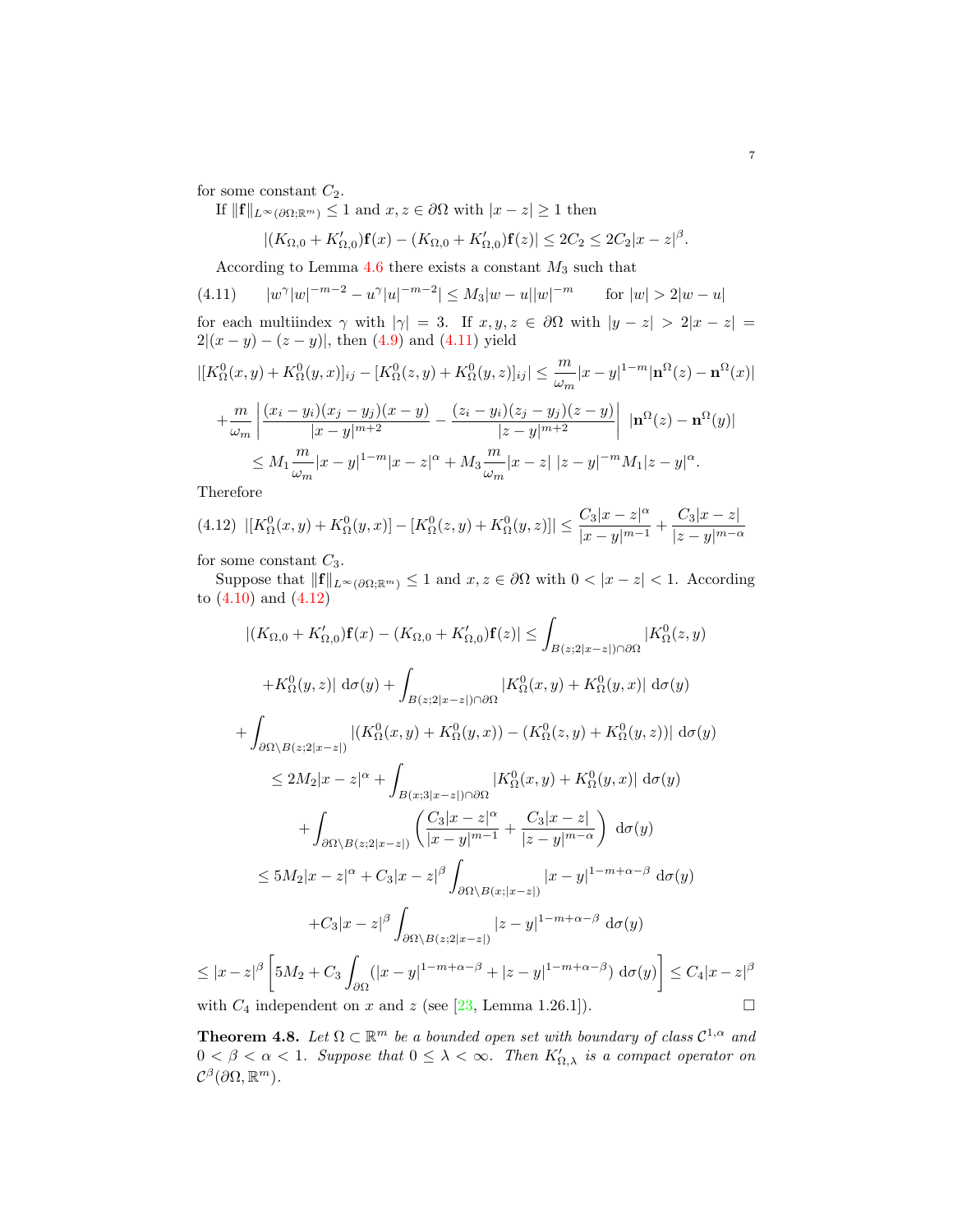for some constant  $C_2$ .

If 
$$
||\mathbf{f}||_{L^{\infty}(\partial\Omega;\mathbb{R}^m)} \leq 1
$$
 and  $x, z \in \partial\Omega$  with  $|x - z| \geq 1$  then

$$
|(K_{\Omega,0}+K'_{\Omega,0})\mathbf{f}(x)-(K_{\Omega,0}+K'_{\Omega,0})\mathbf{f}(z)|\leq 2C_2\leq 2C_2|x-z|^{\beta}.
$$

According to Lemma 4.6 there exists a constant  $M_3$  such that

 $(4.11)$  $\gamma |w|^{-m-2} - u^{\gamma} |u|^{-m-2} \le M_3 |w - u| |w|^{-m}$  for  $|w| > 2|w - u|$ for each multiindex  $\gamma$  with  $|\gamma| = 3$ . If  $x, y, z \in \partial\Omega$  with  $|y - z| > 2|x - z|$  $2|(x-y)-(z-y)|$ , then (4.9) and (4.11) yield

$$
\begin{split} |[K^0_{\Omega}(x,y)+K^0_{\Omega}(y,x)]_{ij}-[K^0_{\Omega}(z,y)+K^0_{\Omega}(y,z)]_{ij}| &\leq \frac{m}{\omega_m}|x-y|^{1-m}|\mathbf{n}^{\Omega}(z)-\mathbf{n}^{\Omega}(x)|\\ &+\frac{m}{\omega_m}\left|\frac{(x_i-y_i)(x_j-y_j)(x-y)}{|x-y|^{m+2}}-\frac{(z_i-y_i)(z_j-y_j)(z-y)}{|z-y|^{m+2}}\right|\;|\mathbf{n}^{\Omega}(z)-\mathbf{n}^{\Omega}(y)|\\ &\leq M_1\frac{m}{\omega_m}|x-y|^{1-m}|x-z|^{\alpha}+M_3\frac{m}{\omega_m}|x-z|\;|z-y|^{-m}M_1|z-y|^{\alpha}. \end{split}
$$

Therefore

 $\leq$ 

$$
(4.12)\ \ |[K_{\Omega}^{0}(x,y)+K_{\Omega}^{0}(y,x)]-[K_{\Omega}^{0}(z,y)+K_{\Omega}^{0}(y,z)]|\leq \frac{C_{3}|x-z|^{\alpha}}{|x-y|^{m-1}}+\frac{C_{3}|x-z|}{|z-y|^{m-\alpha}}
$$

for some constant  $C_3$ .

Suppose that  $||\mathbf{f}||_{L^{\infty}(\partial\Omega;\mathbb{R}^m)} \leq 1$  and  $x, z \in \partial\Omega$  with  $0 < |x - z| < 1$ . According to (4.10) and (4.12)

$$
|(K_{\Omega,0} + K'_{\Omega,0})\mathbf{f}(x) - (K_{\Omega,0} + K'_{\Omega,0})\mathbf{f}(z)| \leq \int_{B(z;2|x-z|)\cap \partial \Omega} |K_{\Omega}^{0}(z,y)|
$$
  
+
$$
+K_{\Omega}^{0}(y,z)| d\sigma(y) + \int_{B(z;2|x-z|)\cap \partial \Omega} |K_{\Omega}^{0}(x,y) + K_{\Omega}^{0}(y,x)| d\sigma(y)
$$
  
+
$$
\int_{\partial \Omega \setminus B(z;2|x-z|)} |(K_{\Omega}^{0}(x,y) + K_{\Omega}^{0}(y,x)) - (K_{\Omega}^{0}(z,y) + K_{\Omega}^{0}(y,z))| d\sigma(y)
$$
  

$$
\leq 2M_{2}|x-z|^{\alpha} + \int_{B(x;3|x-z|)\cap \partial \Omega} |K_{\Omega}^{0}(x,y) + K_{\Omega}^{0}(y,x)| d\sigma(y)
$$
  
+
$$
\int_{\partial \Omega \setminus B(z;2|x-z|)} \left(\frac{C_{3}|x-z|^{\alpha}}{|x-y|^{m-1}} + \frac{C_{3}|x-z|}{|z-y|^{m-\alpha}}\right) d\sigma(y)
$$
  

$$
\leq 5M_{2}|x-z|^{\alpha} + C_{3}|x-z|^{\beta} \int_{\partial \Omega \setminus B(x;|x-z|)} |x-y|^{1-m+\alpha-\beta} d\sigma(y)
$$
  
+
$$
C_{3}|x-z|^{\beta} \int_{\partial \Omega \setminus B(z;2|x-z|)} |z-y|^{1-m+\alpha-\beta} d\sigma(y)
$$
  

$$
\leq |x-z|^{\beta} \left[ 5M_{2} + C_{3} \int_{\partial \Omega} (|x-y|^{1-m+\alpha-\beta} + |z-y|^{1-m+\alpha-\beta}) d\sigma(y) \right] \leq C_{4}|x-z|^{\beta}
$$
  
with  $C_{4}$  independent on x and z (see [23, Lemma 1.26.1]).

**Theorem 4.8.** Let  $\Omega \subset \mathbb{R}^m$  be a bounded open set with boundary of class  $\mathcal{C}^{1,\alpha}$  and  $0 < \beta < \alpha < 1$ . Suppose that  $0 \leq \lambda < \infty$ . Then  $K'_{\Omega,\lambda}$  is a compact operator on  $\mathcal{C}^{\beta}(\partial\Omega,\mathbb{R}^m)$ .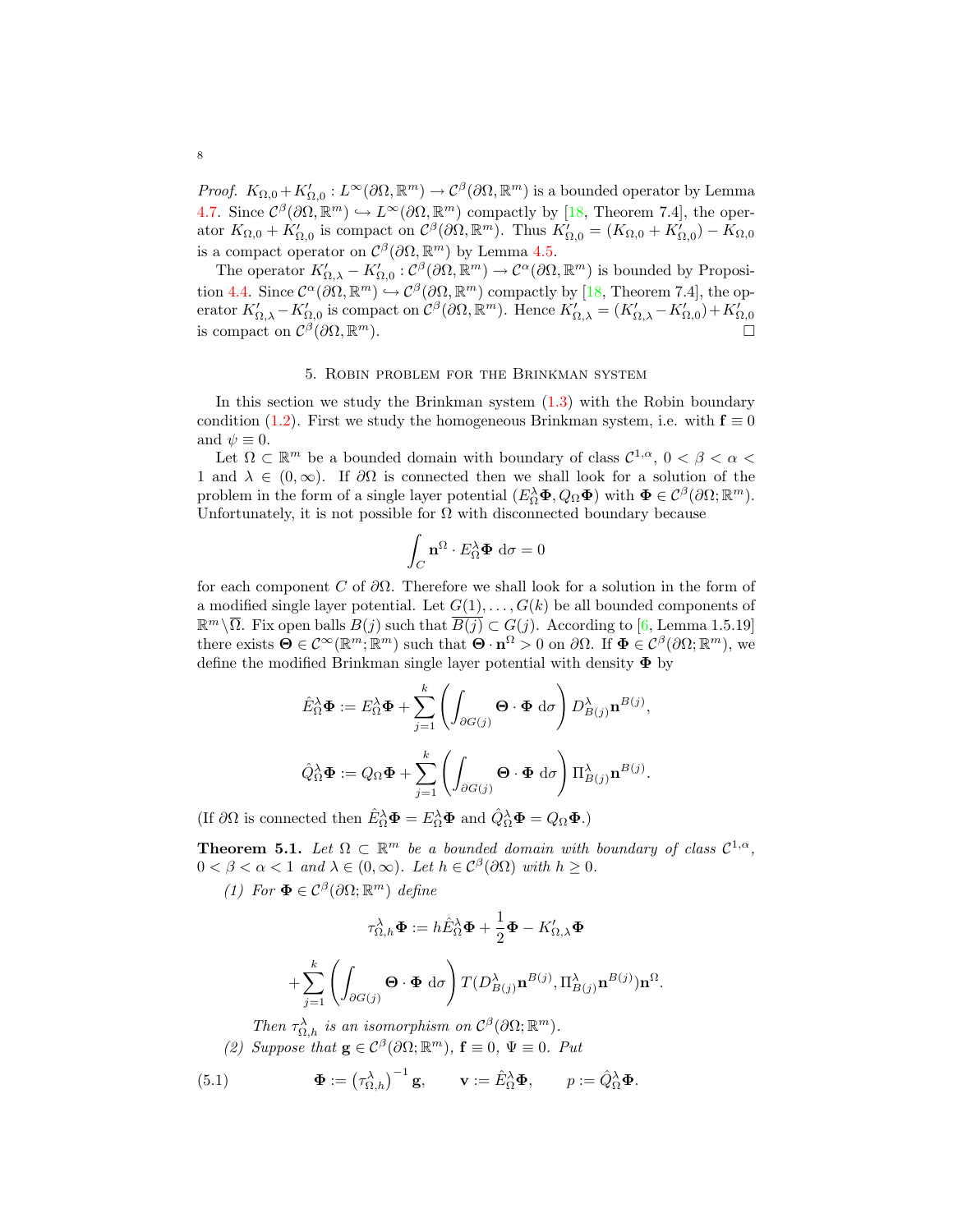*Proof.*  $K_{\Omega,0} + K'_{\Omega,0} : L^{\infty}(\partial\Omega,\mathbb{R}^m) \to C^{\beta}(\partial\Omega,\mathbb{R}^m)$  is a bounded operator by Lemma 4.7. Since  $\mathcal{C}^{\beta}(\partial\Omega,\mathbb{R}^m)\hookrightarrow L^{\infty}(\partial\Omega,\mathbb{R}^m)$  compactly by [18, Theorem 7.4], the operator  $K_{\Omega,0} + K'_{\Omega,0}$  is compact on  $\mathcal{C}^{\beta}(\partial\Omega,\mathbb{R}^m)$ . Thus  $K'_{\Omega,0} = (K_{\Omega,0} + K'_{\Omega,0}) - K_{\Omega,0}$ is a compact operator on  $\mathcal{C}^{\beta}(\partial\Omega,\mathbb{R}^m)$  by Lemma 4.5.

The operator  $K'_{\Omega,\lambda} - K'_{\Omega,0} : \mathcal{C}^{\beta}(\partial\Omega,\mathbb{R}^m) \to \mathcal{C}^{\alpha}(\partial\Omega,\mathbb{R}^m)$  is bounded by Proposition 4.4. Since  $\mathcal{C}^{\alpha}(\partial\Omega,\mathbb{R}^m) \hookrightarrow \mathcal{C}^{\beta}(\partial\Omega,\mathbb{R}^m)$  compactly by [18, Theorem 7.4], the operator  $K'_{\Omega,\lambda} - K'_{\Omega,0}$  is compact on  $\mathcal{C}^{\beta}(\partial\Omega,\mathbb{R}^m)$ . Hence  $K'_{\Omega,\lambda} = (K'_{\Omega,\lambda} - K'_{\Omega,0}) + K'_{\Omega,0}$ <br>is compact on  $\mathcal{C}^{\beta}(\partial\Omega,\mathbb{R}^m)$ . is compact on  $\mathcal{C}^{\beta}(\partial\Omega,\mathbb{R})$ 

#### 5. Robin problem for the Brinkman system

In this section we study the Brinkman system (1.3) with the Robin boundary condition (1.2). First we study the homogeneous Brinkman system, i.e. with  $f \equiv 0$ and  $\psi \equiv 0$ .

Let  $\Omega \subset \mathbb{R}^m$  be a bounded domain with boundary of class  $\mathcal{C}^{1,\alpha}$ ,  $0 < \beta < \alpha <$ 1 and  $\lambda \in (0,\infty)$ . If  $\partial\Omega$  is connected then we shall look for a solution of the problem in the form of a single layer potential  $(E_{\Omega}^{\lambda} \Phi, Q_{\Omega} \Phi)$  with  $\Phi \in C^{\beta}(\partial \Omega; \mathbb{R}^m)$ . Unfortunately, it is not possible for  $\Omega$  with disconnected boundary because

$$
\int_C \mathbf{n}^{\Omega} \cdot E_{\Omega}^{\lambda} \mathbf{\Phi} \, \mathrm{d}\sigma = 0
$$

for each component C of  $\partial\Omega$ . Therefore we shall look for a solution in the form of a modified single layer potential. Let  $G(1), \ldots, G(k)$  be all bounded components of  $\mathbb{R}^m\setminus\overline{\Omega}$ . Fix open balls  $B(j)$  such that  $\overline{B(j)}\subset G(j)$ . According to [6, Lemma 1.5.19] there exists  $\mathbf{\Theta} \in \mathcal{C}^{\infty}(\mathbb{R}^m;\mathbb{R}^m)$  such that  $\mathbf{\Theta} \cdot \mathbf{n}^{\Omega} > 0$  on  $\partial \Omega$ . If  $\mathbf{\Phi} \in \mathcal{C}^{\beta}(\partial \Omega;\mathbb{R}^m)$ , we define the modified Brinkman single layer potential with density  $\Phi$  by

$$
\hat{E}_{\Omega}^{\lambda} \mathbf{\Phi} := E_{\Omega}^{\lambda} \mathbf{\Phi} + \sum_{j=1}^{k} \left( \int_{\partial G(j)} \mathbf{\Theta} \cdot \mathbf{\Phi} \, d\sigma \right) D_{B(j)}^{\lambda} \mathbf{n}^{B(j)},
$$

$$
\hat{Q}_{\Omega}^{\lambda} \mathbf{\Phi} := Q_{\Omega} \mathbf{\Phi} + \sum_{j=1}^{k} \left( \int_{\partial G(j)} \mathbf{\Theta} \cdot \mathbf{\Phi} \, d\sigma \right) \Pi_{B(j)}^{\lambda} \mathbf{n}^{B(j)}.
$$

(If  $\partial\Omega$  is connected then  $\hat{E}_{\Omega}^{\lambda}\mathbf{\Phi} = E_{\Omega}^{\lambda}\mathbf{\Phi}$  and  $\hat{Q}_{\Omega}^{\lambda}\mathbf{\Phi} = Q_{\Omega}\mathbf{\Phi}$ .)

**Theorem 5.1.** Let  $\Omega \subset \mathbb{R}^m$  be a bounded domain with boundary of class  $\mathcal{C}^{1,\alpha}$ ,  $0 < \beta < \alpha < 1$  and  $\lambda \in (0, \infty)$ . Let  $h \in C^{\beta}(\partial \Omega)$  with  $h \geq 0$ .

(1) For  $\mathbf{\Phi} \in \mathcal{C}^{\beta}(\partial \Omega; \mathbb{R}^m)$  define

$$
\tau_{\Omega,h}^{\lambda} \Phi := h \hat{E}_{\Omega}^{\lambda} \Phi + \frac{1}{2} \Phi - K'_{\Omega,\lambda} \Phi
$$

$$
+ \sum_{j=1}^{k} \left( \int_{\partial G(j)} \Theta \cdot \Phi \, \mathrm{d}\sigma \right) T(D_{B(j)}^{\lambda} \mathbf{n}^{B(j)}, \Pi_{B(j)}^{\lambda} \mathbf{n}^{B(j)}) \mathbf{n}^{\Omega}.
$$

Then  $\tau_{\Omega,h}^{\lambda}$  is an isomorphism on  $\mathcal{C}^{\beta}(\partial\Omega;\mathbb{R}^m)$ .

(2) Suppose that  $\mathbf{g} \in C^{\beta}(\partial \Omega; \mathbb{R}^m)$ ,  $\mathbf{f} \equiv 0$ ,  $\Psi \equiv 0$ . Put

(5.1) 
$$
\mathbf{\Phi} := (\tau_{\Omega,h}^{\lambda})^{-1} \mathbf{g}, \qquad \mathbf{v} := \hat{E}_{\Omega}^{\lambda} \mathbf{\Phi}, \qquad p := \hat{Q}_{\Omega}^{\lambda} \mathbf{\Phi}.
$$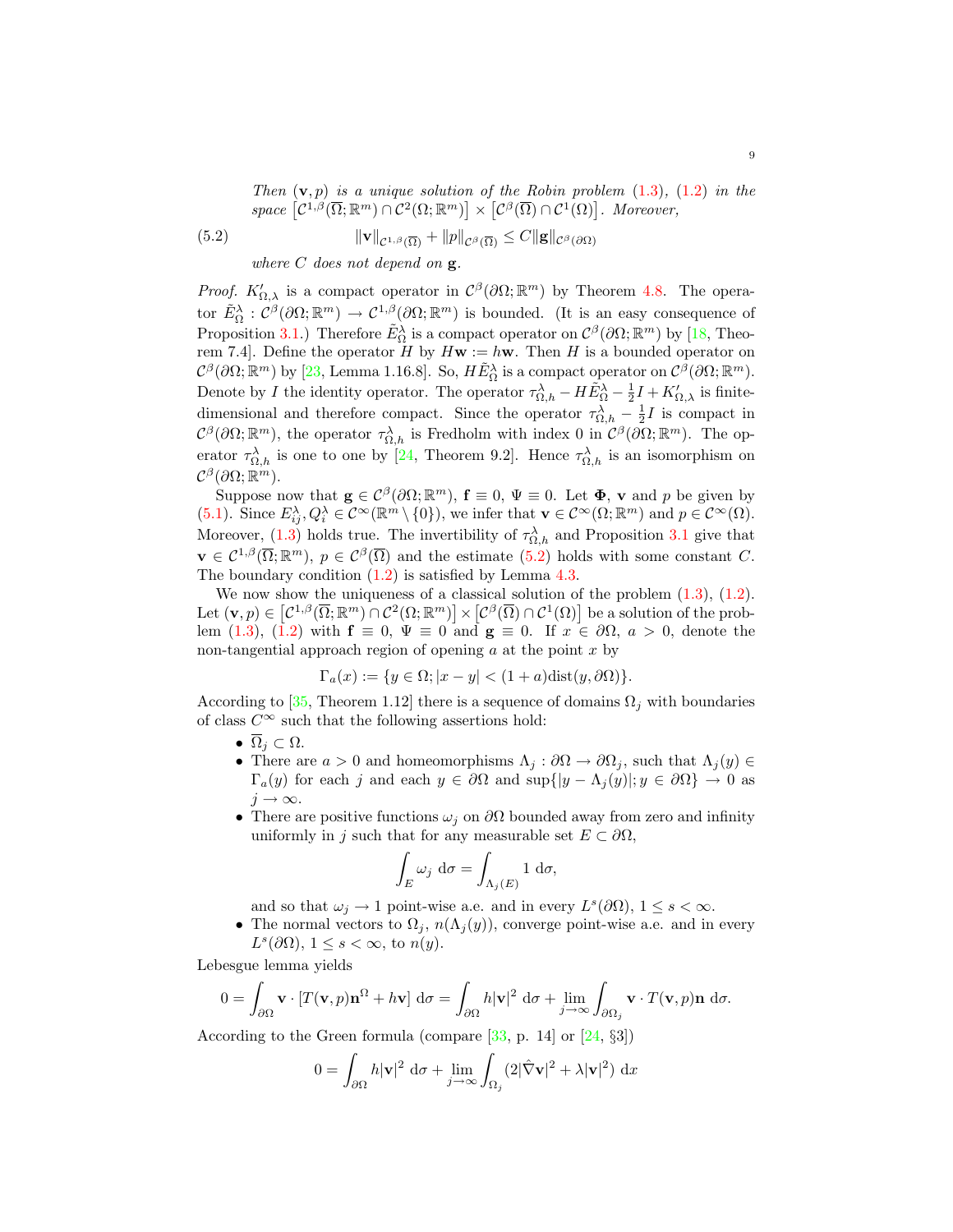Then  $(v, p)$  is a unique solution of the Robin problem  $(1.3)$ ,  $(1.2)$  in the space  $[\mathcal{C}^{1,\beta}(\overline{\Omega};\mathbb{R}^m) \cap \mathcal{C}^2(\Omega;\mathbb{R}^m)] \times [\mathcal{C}^{\beta}(\overline{\Omega}) \cap \mathcal{C}^1(\Omega)].$  Moreover,

(5.2) 
$$
\|\mathbf{v}\|_{\mathcal{C}^{1,\beta}(\overline{\Omega})} + \|p\|_{\mathcal{C}^{\beta}(\overline{\Omega})} \leq C \|\mathbf{g}\|_{\mathcal{C}^{\beta}(\partial\Omega)}
$$

where  $C$  does not depend on  $g$ .

*Proof.*  $K'_{\Omega,\lambda}$  is a compact operator in  $C^{\beta}(\partial\Omega;\mathbb{R}^m)$  by Theorem 4.8. The operator  $\tilde{E}_{\Omega}^{\lambda} : \mathcal{C}^{\beta}(\partial \Omega; \mathbb{R}^m) \to \mathcal{C}^{1,\beta}(\partial \Omega; \mathbb{R}^m)$  is bounded. (It is an easy consequence of Proposition 3.1.) Therefore  $\tilde{E}_{\Omega}^{\lambda}$  is a compact operator on  $\mathcal{C}^{\beta}(\partial\Omega;\mathbb{R}^m)$  by [18, Theorem 7.4]. Define the operator H by  $H\mathbf{w} := h\mathbf{w}$ . Then H is a bounded operator on  $\mathcal{C}^{\beta}(\partial\Omega;\mathbb{R}^m)$  by [23, Lemma 1.16.8]. So,  $H\tilde{E}_{\Omega}^{\lambda}$  is a compact operator on  $\mathcal{C}^{\beta}(\partial\Omega;\mathbb{R}^m)$ . Denote by I the identity operator. The operator  $\tau_{\Omega,h}^{\lambda} - H \tilde{E}_{\Omega}^{\lambda} - \frac{1}{2} I + K'_{\Omega,\lambda}$  is finitedimensional and therefore compact. Since the operator  $\tau_{\Omega,h}^{\lambda} - \frac{1}{2}I$  is compact in  $\mathcal{C}^{\beta}(\partial\Omega;\mathbb{R}^m)$ , the operator  $\tau_{\Omega,h}^{\lambda}$  is Fredholm with index 0 in  $\mathcal{C}^{\beta}(\partial\Omega;\mathbb{R}^m)$ . The operator  $\tau_{\Omega,h}^{\lambda}$  is one to one by [24, Theorem 9.2]. Hence  $\tau_{\Omega,h}^{\lambda}$  is an isomorphism on  $\mathcal{C}^{\beta}(\partial\Omega;\mathbb{R}^m).$ 

Suppose now that  $\mathbf{g} \in \mathcal{C}^{\beta}(\partial \Omega; \mathbb{R}^m)$ ,  $\mathbf{f} \equiv 0$ ,  $\Psi \equiv 0$ . Let  $\mathbf{\Phi}$ , v and p be given by (5.1). Since  $E_i^{\lambda}, Q_i^{\lambda} \in \mathcal{C}^{\infty}(\mathbb{R}^m \setminus \{0\}),$  we infer that  $\mathbf{v} \in \mathcal{C}^{\infty}(\Omega; \mathbb{R}^m)$  and  $p \in \mathcal{C}^{\infty}(\Omega)$ . Moreover, (1.3) holds true. The invertibility of  $\tau_{\Omega,h}^{\lambda}$  and Proposition 3.1 give that  $\mathbf{v} \in \mathcal{C}^{1,\beta}(\overline{\Omega}; \mathbb{R}^m), p \in \mathcal{C}^{\beta}(\overline{\Omega})$  and the estimate  $(5.2)$  holds with some constant C. The boundary condition (1.2) is satisfied by Lemma 4.3.

We now show the uniqueness of a classical solution of the problem  $(1.3)$ ,  $(1.2)$ . Let  $(\mathbf{v}, p) \in [C^{1,\beta}(\overline{\Omega}; \mathbb{R}^m) \cap C^2(\Omega; \mathbb{R}^m)] \times [C^{\beta}(\overline{\Omega}) \cap C^1(\Omega)]$  be a solution of the problem (1.3), (1.2) with  $f \equiv 0$ ,  $\Psi \equiv 0$  and  $g \equiv 0$ . If  $x \in \partial\Omega$ ,  $a > 0$ , denote the non-tangential approach region of opening  $a$  at the point  $x$  by

$$
\Gamma_a(x) := \{ y \in \Omega; |x - y| < (1 + a)\text{dist}(y, \partial \Omega) \}.
$$

According to [35, Theorem 1.12] there is a sequence of domains  $\Omega_i$  with boundaries of class  $C^{\infty}$  such that the following assertions hold:

- $\overline{\Omega}_j \subset \Omega$ .
- There are  $a > 0$  and homeomorphisms  $\Lambda_j : \partial \Omega \to \partial \Omega_j$ , such that  $\Lambda_j(y) \in$  $\Gamma_a(y)$  for each j and each  $y \in \partial\Omega$  and  $\sup\{|y - \Lambda_j(y)|; y \in \partial\Omega\} \to 0$  as  $j \rightarrow \infty$ .
- There are positive functions  $\omega_i$  on  $\partial\Omega$  bounded away from zero and infinity uniformly in j such that for any measurable set  $E \subset \partial \Omega$ ,

$$
\int_E \omega_j \, \mathrm{d}\sigma = \int_{\Lambda_j(E)} 1 \, \mathrm{d}\sigma,
$$

and so that  $\omega_j \to 1$  point-wise a.e. and in every  $L^s(\partial\Omega)$ ,  $1 \leq s < \infty$ .

• The normal vectors to  $\Omega_i$ ,  $n(\Lambda_i(y))$ , converge point-wise a.e. and in every  $L^s(\partial\Omega), 1 \leq s < \infty$ , to  $n(y)$ .

Lebesgue lemma yields

$$
0 = \int_{\partial\Omega} \mathbf{v} \cdot [T(\mathbf{v}, p)\mathbf{n}^{\Omega} + h\mathbf{v}] d\sigma = \int_{\partial\Omega} h|\mathbf{v}|^2 d\sigma + \lim_{j \to \infty} \int_{\partial\Omega_j} \mathbf{v} \cdot T(\mathbf{v}, p)\mathbf{n} d\sigma.
$$

According to the Green formula (compare  $[33, p. 14]$  or  $[24, \S3]$ )

$$
0 = \int_{\partial\Omega} h|\mathbf{v}|^2 \, \mathrm{d}\sigma + \lim_{j \to \infty} \int_{\Omega_j} (2|\hat{\nabla}\mathbf{v}|^2 + \lambda |\mathbf{v}|^2) \, \mathrm{d}x
$$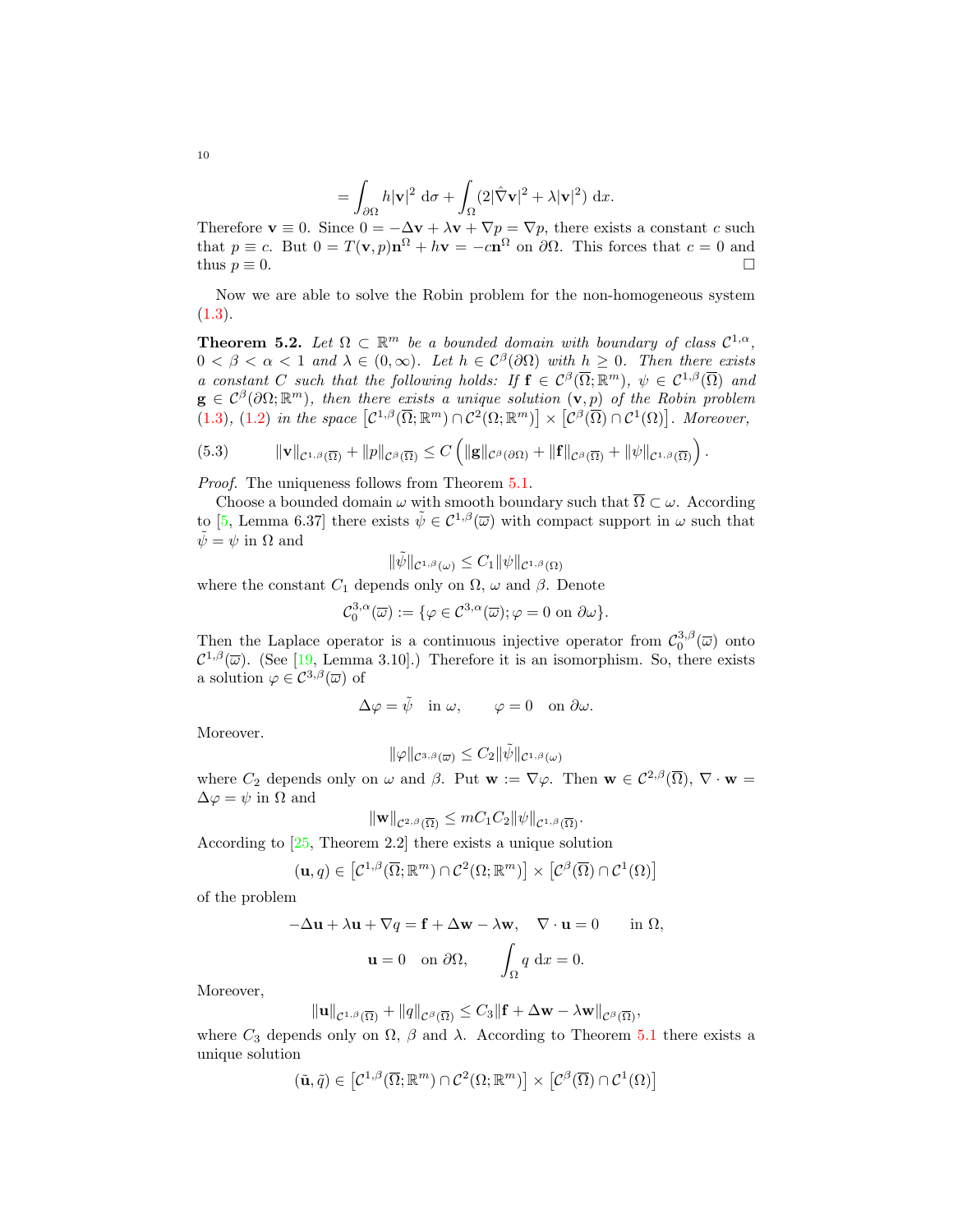$$
= \int_{\partial\Omega} h |\mathbf{v}|^2 \, \, \mathrm{d}\sigma + \int_{\Omega} (2 |\hat{\nabla} \mathbf{v}|^2 + \lambda |\mathbf{v}|^2) \, \, \mathrm{d}x.
$$

Therefore  $\mathbf{v} \equiv 0$ . Since  $0 = -\Delta \mathbf{v} + \lambda \mathbf{v} + \nabla p = \nabla p$ , there exists a constant c such that  $p \equiv c$ . But  $0 = T(\mathbf{v}, p) \mathbf{n}^{\Omega} + h\mathbf{v} = -c\mathbf{n}^{\Omega}$  on  $\partial\Omega$ . This forces that  $c = 0$  and thus  $p \equiv 0$ .

Now we are able to solve the Robin problem for the non-homogeneous system  $(1.3).$ 

**Theorem 5.2.** Let  $\Omega \subset \mathbb{R}^m$  be a bounded domain with boundary of class  $\mathcal{C}^{1,\alpha}$ ,  $0 < \beta < \alpha < 1$  and  $\lambda \in (0, \infty)$ . Let  $h \in C^{\beta}(\partial \Omega)$  with  $h \geq 0$ . Then there exists a constant C such that the following holds: If  $f \in C^{\beta}(\overline{\Omega}; \mathbb{R}^m)$ ,  $\psi \in C^{1,\beta}(\overline{\Omega})$  and  $g \in C^{\beta}(\partial\Omega;\mathbb{R}^m)$ , then there exists a unique solution  $(v, p)$  of the Robin problem (1.3), (1.2) in the space  $[\mathcal{C}^{1,\beta}(\overline{\Omega};\mathbb{R}^m) \cap \mathcal{C}^2(\Omega;\mathbb{R}^m)] \times [\mathcal{C}^{\beta}(\overline{\Omega}) \cap \mathcal{C}^1(\Omega)].$  Moreover,

(5.3) 
$$
\|\mathbf{v}\|_{\mathcal{C}^{1,\beta}(\overline{\Omega})} + \|p\|_{\mathcal{C}^{\beta}(\overline{\Omega})} \leq C \left( \|\mathbf{g}\|_{\mathcal{C}^{\beta}(\partial\Omega)} + \|\mathbf{f}\|_{\mathcal{C}^{\beta}(\overline{\Omega})} + \|\psi\|_{\mathcal{C}^{1,\beta}(\overline{\Omega})} \right).
$$

Proof. The uniqueness follows from Theorem 5.1.

Choose a bounded domain  $\omega$  with smooth boundary such that  $\overline{\Omega}\subset \omega.$  According to [5, Lemma 6.37] there exists  $\tilde{\psi} \in C^{1,\beta}(\overline{\omega})$  with compact support in  $\omega$  such that  $\tilde{\psi} = \psi$  in  $\Omega$  and

$$
\|\tilde{\psi}\|_{\mathcal{C}^{1,\beta}(\omega)} \leq C_1 \|\psi\|_{\mathcal{C}^{1,\beta}(\Omega)}
$$

where the constant  $C_1$  depends only on  $\Omega$ ,  $\omega$  and  $\beta$ . Denote

$$
\mathcal{C}_0^{3,\alpha}(\overline{\omega}) := \{ \varphi \in \mathcal{C}^{3,\alpha}(\overline{\omega}); \varphi = 0 \text{ on } \partial \omega \}.
$$

Then the Laplace operator is a continuous injective operator from  $\mathcal{C}_0^{3,\beta}(\overline{\omega})$  onto  $\mathcal{C}^{1,\beta}(\overline{\omega})$ . (See [19, Lemma 3.10].) Therefore it is an isomorphism. So, there exists a solution  $\varphi \in C^{3,\beta}(\overline{\omega})$  of

$$
\Delta \varphi = \tilde{\psi} \quad \text{in } \omega, \qquad \varphi = 0 \quad \text{on } \partial \omega.
$$

Moreover.

$$
\|\varphi\|_{\mathcal{C}^{3,\beta}(\overline{\omega})}\leq C_2\|\tilde{\psi}\|_{\mathcal{C}^{1,\beta}(\omega)}
$$

where  $C_2$  depends only on  $\omega$  and  $\beta$ . Put  $\mathbf{w} := \nabla \varphi$ . Then  $\mathbf{w} \in C^{2,\beta}(\overline{\Omega}), \nabla \cdot \mathbf{w} =$  $\Delta \varphi = \psi$  in  $\Omega$  and

$$
\|\mathbf{w}\|_{\mathcal{C}^{2,\beta}(\overline{\Omega})} \leq mC_1C_2 \|\psi\|_{\mathcal{C}^{1,\beta}(\overline{\Omega})}.
$$

According to [25, Theorem 2.2] there exists a unique solution

$$
(\mathbf{u}, q) \in \left[\mathcal{C}^{1,\beta}(\overline{\Omega}; \mathbb{R}^m) \cap \mathcal{C}^2(\Omega; \mathbb{R}^m)\right] \times \left[\mathcal{C}^{\beta}(\overline{\Omega}) \cap \mathcal{C}^1(\Omega)\right]
$$

of the problem

$$
-\Delta \mathbf{u} + \lambda \mathbf{u} + \nabla q = \mathbf{f} + \Delta \mathbf{w} - \lambda \mathbf{w}, \quad \nabla \cdot \mathbf{u} = 0 \quad \text{in } \Omega,
$$

$$
\mathbf{u} = 0 \quad \text{on } \partial \Omega, \qquad \int_{\Omega} q \, dx = 0.
$$

Moreover,

$$
\|\mathbf{u}\|_{\mathcal{C}^{1,\beta}(\overline{\Omega})}+\|q\|_{\mathcal{C}^{\beta}(\overline{\Omega})}\leq C_3\|\mathbf{f}+\Delta\mathbf{w}-\lambda\mathbf{w}\|_{\mathcal{C}^{\beta}(\overline{\Omega})},
$$

where  $C_3$  depends only on  $\Omega$ ,  $\beta$  and  $\lambda$ . According to Theorem 5.1 there exists a unique solution

$$
(\tilde{\mathbf{u}},\tilde{q}) \in \left[\mathcal{C}^{1,\beta}(\overline{\Omega};\mathbb{R}^m) \cap \mathcal{C}^2(\Omega;\mathbb{R}^m)\right] \times \left[\mathcal{C}^{\beta}(\overline{\Omega}) \cap \mathcal{C}^1(\Omega)\right]
$$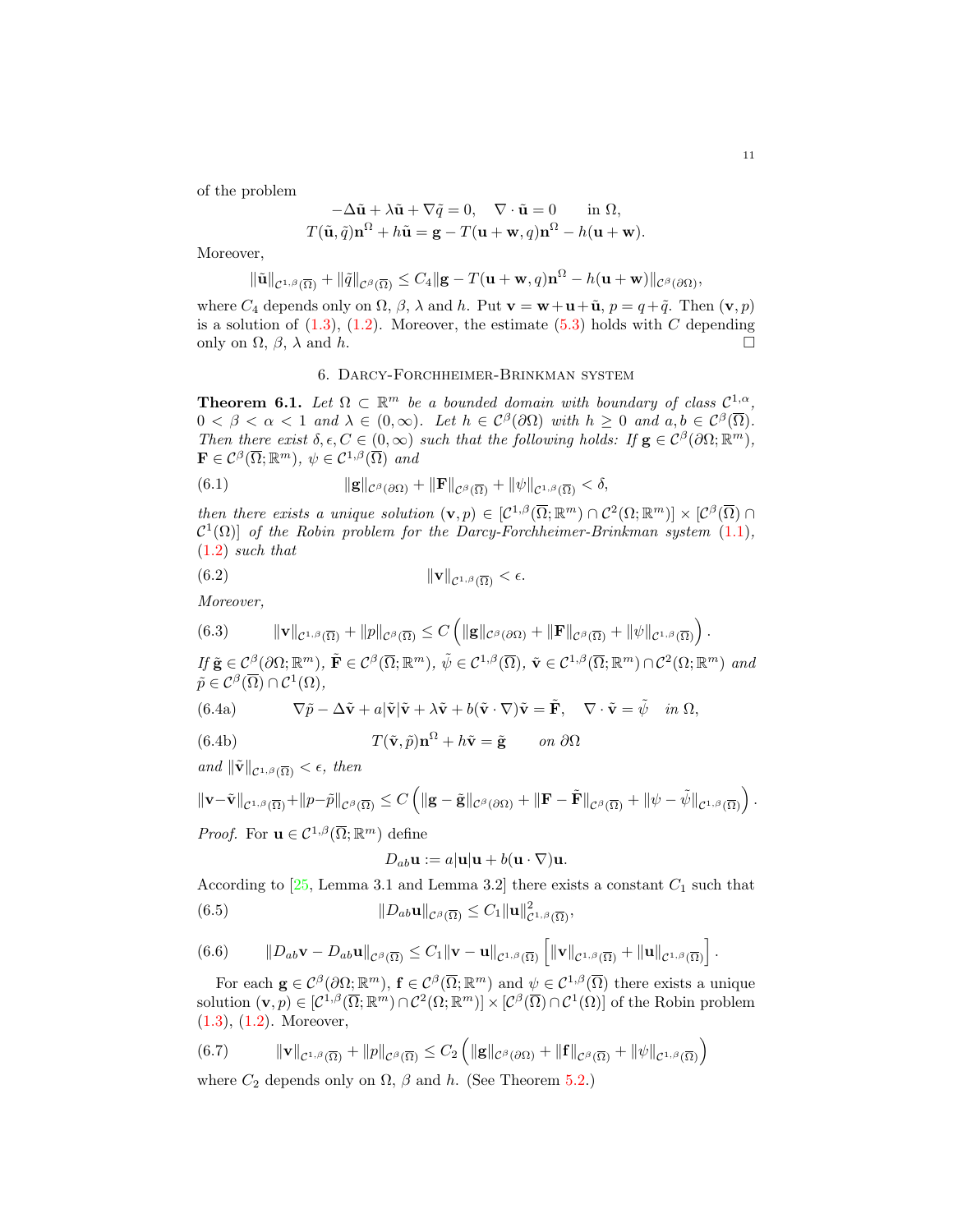of the problem

$$
-\Delta \tilde{\mathbf{u}} + \lambda \tilde{\mathbf{u}} + \nabla \tilde{q} = 0, \quad \nabla \cdot \tilde{\mathbf{u}} = 0 \quad \text{in } \Omega,
$$
  

$$
T(\tilde{\mathbf{u}}, \tilde{q}) \mathbf{n}^{\Omega} + h\tilde{\mathbf{u}} = \mathbf{g} - T(\mathbf{u} + \mathbf{w}, q) \mathbf{n}^{\Omega} - h(\mathbf{u} + \mathbf{w}).
$$

Moreover,

$$
\|\tilde{\mathbf{u}}\|_{\mathcal{C}^{1,\beta}(\overline{\Omega})}+\|\tilde{q}\|_{\mathcal{C}^{\beta}(\overline{\Omega})}\leq C_{4}\|\mathbf{g}-T(\mathbf{u}+\mathbf{w},q)\mathbf{n}^{\Omega}-h(\mathbf{u}+\mathbf{w})\|_{\mathcal{C}^{\beta}(\partial\Omega)},
$$

where  $C_4$  depends only on  $\Omega$ ,  $\beta$ ,  $\lambda$  and  $h$ . Put  $\mathbf{v} = \mathbf{w} + \mathbf{u} + \tilde{\mathbf{u}}$ ,  $p = q + \tilde{q}$ . Then  $(\mathbf{v}, p)$ is a solution of  $(1.3)$ ,  $(1.2)$ . Moreover, the estimate  $(5.3)$  holds with C depending only on  $\Omega$ ,  $\beta$ ,  $\lambda$  and  $h$ .

#### 6. Darcy-Forchheimer-Brinkman system

**Theorem 6.1.** Let  $\Omega \subset \mathbb{R}^m$  be a bounded domain with boundary of class  $\mathcal{C}^{1,\alpha}$ ,  $0 < \beta < \alpha < 1$  and  $\lambda \in (0, \infty)$ . Let  $h \in C^{\beta}(\partial \Omega)$  with  $h \geq 0$  and  $a, b \in C^{\beta}(\overline{\Omega})$ . Then there exist  $\delta, \epsilon, C \in (0, \infty)$  such that the following holds: If  $\mathbf{g} \in C^{\beta}(\partial \Omega; \mathbb{R}^m)$ ,  $\mathbf{F} \in \mathcal{C}^{\beta}(\overline{\Omega}; \mathbb{R}^m), \ \psi \in \mathcal{C}^{1,\beta}(\overline{\Omega}) \ \ and$ 

(6.1) 
$$
\|\mathbf{g}\|_{\mathcal{C}^{\beta}(\partial\Omega)} + \|\mathbf{F}\|_{\mathcal{C}^{\beta}(\overline{\Omega})} + \|\psi\|_{\mathcal{C}^{1,\beta}(\overline{\Omega})} < \delta,
$$

then there exists a unique solution  $(\mathbf{v}, p) \in [C^{1,\beta}(\overline{\Omega}; \mathbb{R}^m) \cap C^2(\Omega; \mathbb{R}^m)] \times [C^{\beta}(\overline{\Omega}) \cap C^2(\Omega; \mathbb{R}^m)]$  $\mathcal{C}^1(\Omega)$  of the Robin problem for the Darcy-Forchheimer-Brinkman system (1.1), (1.2) such that

$$
||\mathbf{v}||_{\mathcal{C}^{1,\beta}(\overline{\Omega})} < \epsilon.
$$

Moreover,

(6.3) 
$$
\|\mathbf{v}\|_{\mathcal{C}^{1,\beta}(\overline{\Omega})} + \|p\|_{\mathcal{C}^{\beta}(\overline{\Omega})} \leq C \left( \|\mathbf{g}\|_{\mathcal{C}^{\beta}(\partial\Omega)} + \|\mathbf{F}\|_{\mathcal{C}^{\beta}(\overline{\Omega})} + \|\psi\|_{\mathcal{C}^{1,\beta}(\overline{\Omega})} \right).
$$

If  $\tilde{\mathbf{g}} \in C^{\beta}(\partial\Omega;\mathbb{R}^m)$ ,  $\tilde{\mathbf{F}} \in C^{\beta}(\overline{\Omega};\mathbb{R}^m)$ ,  $\tilde{\psi} \in C^{1,\beta}(\overline{\Omega})$ ,  $\tilde{\mathbf{v}} \in C^{1,\beta}(\overline{\Omega};\mathbb{R}^m) \cap C^2(\Omega;\mathbb{R}^m)$  and  $\tilde{p} \in \mathcal{C}^{\beta}(\overline{\Omega}) \cap \mathcal{C}^1(\Omega),$ 

(6.4a) 
$$
\nabla \tilde{p} - \Delta \tilde{\mathbf{v}} + a \vert \tilde{\mathbf{v}} \vert \tilde{\mathbf{v}} + \lambda \tilde{\mathbf{v}} + b(\tilde{\mathbf{v}} \cdot \nabla) \tilde{\mathbf{v}} = \tilde{\mathbf{F}}, \quad \nabla \cdot \tilde{\mathbf{v}} = \tilde{\psi} \quad \text{in } \Omega,
$$

(6.4b) 
$$
T(\tilde{\mathbf{v}}, \tilde{p})\mathbf{n}^{\Omega} + h\tilde{\mathbf{v}} = \tilde{\mathbf{g}} \quad on \ \partial\Omega
$$

and  $\|\tilde{\mathbf{v}}\|_{\mathcal{C}^{1,\beta}(\overline{\Omega})} < \epsilon$ , then

$$
\|\mathbf{v}-\tilde{\mathbf{v}}\|_{\mathcal{C}^{1,\beta}(\overline{\Omega})}+\|p-\tilde{p}\|_{\mathcal{C}^{\beta}(\overline{\Omega})}\leq C\left(\|\mathbf{g}-\tilde{\mathbf{g}}\|_{\mathcal{C}^{\beta}(\partial\Omega)}+\|\mathbf{F}-\tilde{\mathbf{F}}\|_{\mathcal{C}^{\beta}(\overline{\Omega})}+\|\psi-\tilde{\psi}\|_{\mathcal{C}^{1,\beta}(\overline{\Omega})}\right).
$$

*Proof.* For  $\mathbf{u} \in \mathcal{C}^{1,\beta}(\overline{\Omega}; \mathbb{R}^m)$  define

$$
D_{ab}\mathbf{u} := a|\mathbf{u}|\mathbf{u} + b(\mathbf{u} \cdot \nabla)\mathbf{u}.
$$

According to  $[25, \text{Lemma } 3.1 \text{ and Lemma } 3.2]$  there exists a constant  $C_1$  such that (6.5)  $||D_{ab}\mathbf{u}||_{\mathcal{C}^{\beta}(\overline{\Omega})} \leq C_1 ||\mathbf{u}||_{\mathcal{C}^{1,\beta}(\overline{\Omega})}^2,$ 

(6.6) 
$$
\|D_{ab}\mathbf{v}-D_{ab}\mathbf{u}\|_{\mathcal{C}^{\beta}(\overline{\Omega})}\leq C_1\|\mathbf{v}-\mathbf{u}\|_{\mathcal{C}^{1,\beta}(\overline{\Omega})}\left[\|\mathbf{v}\|_{\mathcal{C}^{1,\beta}(\overline{\Omega})}+\|\mathbf{u}\|_{\mathcal{C}^{1,\beta}(\overline{\Omega})}\right].
$$

For each  $\mathbf{g} \in \mathcal{C}^{\beta}(\partial\Omega;\mathbb{R}^m)$ ,  $\mathbf{f} \in \mathcal{C}^{\beta}(\overline{\Omega};\mathbb{R}^m)$  and  $\psi \in \mathcal{C}^{1,\beta}(\overline{\Omega})$  there exists a unique solution  $(\mathbf{v}, p) \in [\mathcal{C}^{1,\beta}(\overline{\Omega}; \mathbb{R}^m) \cap \mathcal{C}^2(\Omega; \mathbb{R}^m)] \times [\mathcal{C}^{\beta}(\overline{\Omega}) \cap \mathcal{C}^1(\Omega)]$  of the Robin problem (1.3), (1.2). Moreover,

(6.7) 
$$
\|\mathbf{v}\|_{\mathcal{C}^{1,\beta}(\overline{\Omega})} + \|p\|_{\mathcal{C}^{\beta}(\overline{\Omega})} \leq C_2 \left( \|\mathbf{g}\|_{\mathcal{C}^{\beta}(\partial\Omega)} + \|\mathbf{f}\|_{\mathcal{C}^{\beta}(\overline{\Omega})} + \|\psi\|_{\mathcal{C}^{1,\beta}(\overline{\Omega})} \right)
$$

where  $C_2$  depends only on  $\Omega$ ,  $\beta$  and h. (See Theorem 5.2.)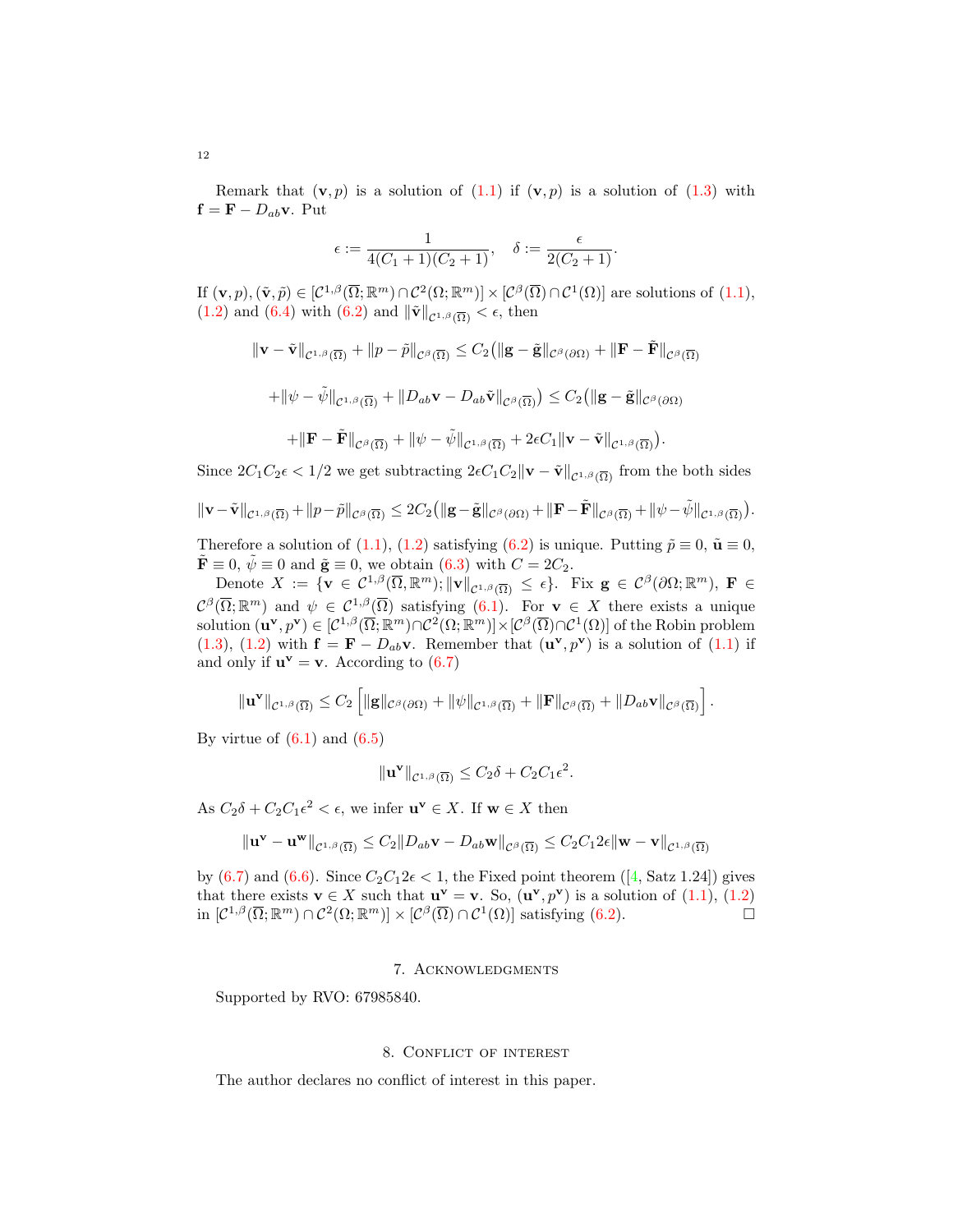Remark that  $(v, p)$  is a solution of  $(1.1)$  if  $(v, p)$  is a solution of  $(1.3)$  with  $f = F - D_{ab}v$ . Put

$$
\epsilon := \frac{1}{4(C_1+1)(C_2+1)}, \quad \delta := \frac{\epsilon}{2(C_2+1)}.
$$

If  $(\mathbf{v}, p), (\tilde{\mathbf{v}}, \tilde{p}) \in [\mathcal{C}^{1,\beta}(\overline{\Omega}; \mathbb{R}^m) \cap \mathcal{C}^2(\Omega; \mathbb{R}^m)] \times [\mathcal{C}^{\beta}(\overline{\Omega}) \cap \mathcal{C}^1(\Omega)]$  are solutions of  $(1.1)$ , (1.2) and (6.4) with (6.2) and  $\|\tilde{\mathbf{v}}\|_{\mathcal{C}^{1,\beta}(\overline{\Omega})} < \epsilon$ , then

$$
\|\mathbf{v}-\tilde{\mathbf{v}}\|_{\mathcal{C}^{1,\beta}(\overline{\Omega})}+\|p-\tilde{p}\|_{\mathcal{C}^{\beta}(\overline{\Omega})}\leq C_2(\|\mathbf{g}-\tilde{\mathbf{g}}\|_{\mathcal{C}^{\beta}(\partial\Omega)}+\|\mathbf{F}-\tilde{\mathbf{F}}\|_{\mathcal{C}^{\beta}(\overline{\Omega})})
$$

$$
+\|\psi-\tilde{\psi}\|_{\mathcal{C}^{1,\beta}(\overline{\Omega})}+\|D_{ab}\mathbf{v}-D_{ab}\tilde{\mathbf{v}}\|_{\mathcal{C}^{\beta}(\overline{\Omega})})\leq C_2(\|\mathbf{g}-\tilde{\mathbf{g}}\|_{\mathcal{C}^{\beta}(\partial\Omega)}
$$

$$
+\|\mathbf{F}-\tilde{\mathbf{F}}\|_{\mathcal{C}^{\beta}(\overline{\Omega})}+\|\psi-\tilde{\psi}\|_{\mathcal{C}^{1,\beta}(\overline{\Omega})}+2\epsilon C_{1}\|\mathbf{v}-\tilde{\mathbf{v}}\|_{\mathcal{C}^{1,\beta}(\overline{\Omega})}).
$$

Since  $2C_1C_2\epsilon < 1/2$  we get subtracting  $2\epsilon C_1C_2\|\mathbf{v}-\tilde{\mathbf{v}}\|_{\mathcal{C}^{1,\beta}(\overline{\Omega})}$  from the both sides

$$
\|\mathbf{v}-\tilde{\mathbf{v}}\|_{\mathcal{C}^{1,\beta}(\overline{\Omega})}+\|p-\tilde{p}\|_{\mathcal{C}^{\beta}(\overline{\Omega})}\leq 2C_2\big(\|\mathbf{g}-\tilde{\mathbf{g}}\|_{\mathcal{C}^{\beta}(\partial\Omega)}+\|\mathbf{F}-\tilde{\mathbf{F}}\|_{\mathcal{C}^{\beta}(\overline{\Omega})}+\|\psi-\tilde{\psi}\|_{\mathcal{C}^{1,\beta}(\overline{\Omega})}\big).
$$

Therefore a solution of (1.1), (1.2) satisfying (6.2) is unique. Putting  $\tilde{p} \equiv 0$ ,  $\tilde{u} \equiv 0$ ,  $\tilde{\mathbf{F}} \equiv 0$ ,  $\tilde{\psi} \equiv 0$  and  $\tilde{\mathbf{g}} \equiv 0$ , we obtain  $(6.3)$  with  $C = 2C_2$ .

Denote  $X := \{ \mathbf{v} \in C^{1,\beta}(\overline{\Omega}, \mathbb{R}^m); \|\mathbf{v}\|_{C^{1,\beta}(\overline{\Omega})} \leq \epsilon \}.$  Fix  $\mathbf{g} \in C^{\beta}(\partial \Omega; \mathbb{R}^m)$ ,  $\mathbf{F} \in$  $\mathcal{C}^{\beta}(\overline{\Omega}; \mathbb{R}^m)$  and  $\psi \in \mathcal{C}^{1,\beta}(\overline{\Omega})$  satisfying  $(6.1)$ . For  $\mathbf{v} \in X$  there exists a unique solution  $(\mathbf{u}^{\mathbf{v}},p^{\mathbf{v}})\in [\mathcal{C}^{1,\beta}(\overline{\Omega};\mathbb{R}^m)\cap \mathcal{C}^2(\Omega;\mathbb{R}^m)]\times [\mathcal{C}^{\beta}(\overline{\Omega})\cap \mathcal{C}^1(\Omega)]$  of the Robin problem (1.3), (1.2) with  $\mathbf{f} = \mathbf{F} - D_{ab} \mathbf{v}$ . Remember that  $(\mathbf{u}^{\mathbf{v}}, p^{\mathbf{v}})$  is a solution of (1.1) if and only if  $\mathbf{u}^{\mathbf{v}} = \mathbf{v}$ . According to (6.7)

$$
\|\mathbf{u}^{\mathbf{v}}\|_{\mathcal{C}^{1,\beta}(\overline{\Omega})}\leq C_2\left[\|\mathbf{g}\|_{\mathcal{C}^{\beta}(\partial\Omega)}+\|\psi\|_{\mathcal{C}^{1,\beta}(\overline{\Omega})}+\|\mathbf{F}\|_{\mathcal{C}^{\beta}(\overline{\Omega})}+\|D_{ab}\mathbf{v}\|_{\mathcal{C}^{\beta}(\overline{\Omega})}\right].
$$

By virtue of  $(6.1)$  and  $(6.5)$ 

$$
\|\mathbf{u}^{\mathbf{v}}\|_{\mathcal{C}^{1,\beta}(\overline{\Omega})} \leq C_2 \delta + C_2 C_1 \epsilon^2.
$$

As  $C_2 \delta + C_2 C_1 \epsilon^2 < \epsilon$ , we infer  $\mathbf{u}^{\mathbf{v}} \in X$ . If  $\mathbf{w} \in X$  then

$$
\|\mathbf{u}^{\mathbf{v}}-\mathbf{u}^{\mathbf{w}}\|_{\mathcal{C}^{1,\beta}(\overline{\Omega})}\leq C_2\|D_{ab}\mathbf{v}-D_{ab}\mathbf{w}\|_{\mathcal{C}^{\beta}(\overline{\Omega})}\leq C_2C_12\epsilon\|\mathbf{w}-\mathbf{v}\|_{\mathcal{C}^{1,\beta}(\overline{\Omega})}
$$

by (6.7) and (6.6). Since  $C_2C_12\epsilon < 1$ , the Fixed point theorem ([4, Satz 1.24]) gives that there exists  $\mathbf{v} \in X$  such that  $\mathbf{u}^{\mathbf{v}} = \mathbf{v}$ . So,  $(\mathbf{u}^{\mathbf{v}}, p^{\mathbf{v}})$  is a solution of  $(1.1), (1.2)$ in  $[\mathcal{C}^{1,\beta}(\overline{\Omega};\mathbb{R}^m) \cap \mathcal{C}^2(\Omega;\mathbb{R}^m)] \times [\mathcal{C}^{\beta}(\overline{\Omega}) \cap \mathcal{C}^1(\Omega)]$  satisfying (6.2).

#### 7. Acknowledgments

Supported by RVO: 67985840.

#### 8. Conflict of interest

The author declares no conflict of interest in this paper.

12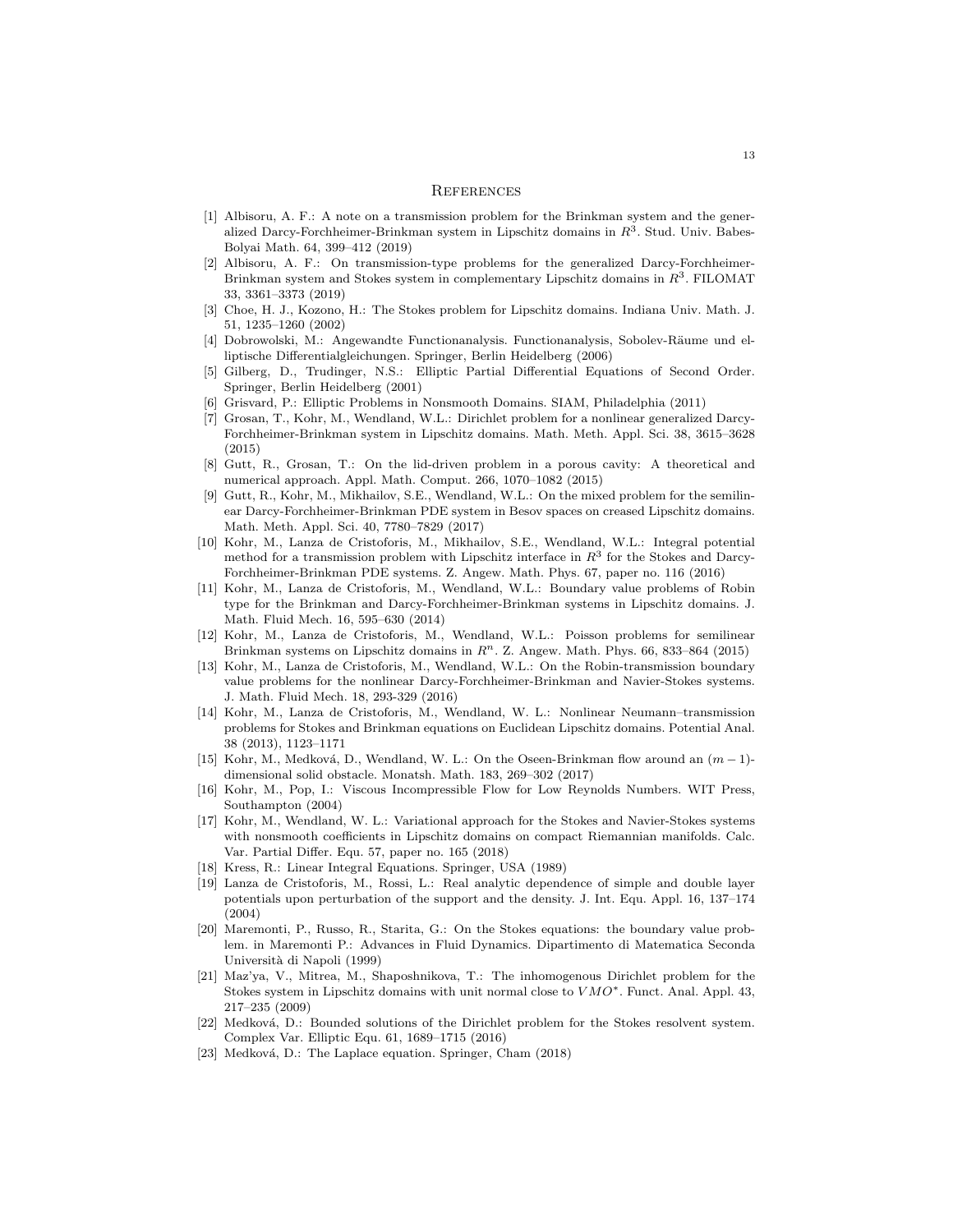#### **REFERENCES**

- [1] Albisoru, A. F.: A note on a transmission problem for the Brinkman system and the generalized Darcy-Forchheimer-Brinkman system in Lipschitz domains in  $R<sup>3</sup>$ . Stud. Univ. Babes-Bolyai Math. 64, 399–412 (2019)
- [2] Albisoru, A. F.: On transmission-type problems for the generalized Darcy-Forchheimer-Brinkman system and Stokes system in complementary Lipschitz domains in  $R^3$ . FILOMAT 33, 3361–3373 (2019)
- [3] Choe, H. J., Kozono, H.: The Stokes problem for Lipschitz domains. Indiana Univ. Math. J. 51, 1235–1260 (2002)
- [4] Dobrowolski, M.: Angewandte Functionanalysis. Functionanalysis, Sobolev-Räume und elliptische Differentialgleichungen. Springer, Berlin Heidelberg (2006)
- [5] Gilberg, D., Trudinger, N.S.: Elliptic Partial Differential Equations of Second Order. Springer, Berlin Heidelberg (2001)
- [6] Grisvard, P.: Elliptic Problems in Nonsmooth Domains. SIAM, Philadelphia (2011)
- [7] Grosan, T., Kohr, M., Wendland, W.L.: Dirichlet problem for a nonlinear generalized Darcy-Forchheimer-Brinkman system in Lipschitz domains. Math. Meth. Appl. Sci. 38, 3615–3628 (2015)
- [8] Gutt, R., Grosan, T.: On the lid-driven problem in a porous cavity: A theoretical and numerical approach. Appl. Math. Comput. 266, 1070–1082 (2015)
- [9] Gutt, R., Kohr, M., Mikhailov, S.E., Wendland, W.L.: On the mixed problem for the semilinear Darcy-Forchheimer-Brinkman PDE system in Besov spaces on creased Lipschitz domains. Math. Meth. Appl. Sci. 40, 7780–7829 (2017)
- [10] Kohr, M., Lanza de Cristoforis, M., Mikhailov, S.E., Wendland, W.L.: Integral potential method for a transmission problem with Lipschitz interface in  $R<sup>3</sup>$  for the Stokes and Darcy-Forchheimer-Brinkman PDE systems. Z. Angew. Math. Phys. 67, paper no. 116 (2016)
- [11] Kohr, M., Lanza de Cristoforis, M., Wendland, W.L.: Boundary value problems of Robin type for the Brinkman and Darcy-Forchheimer-Brinkman systems in Lipschitz domains. J. Math. Fluid Mech. 16, 595–630 (2014)
- [12] Kohr, M., Lanza de Cristoforis, M., Wendland, W.L.: Poisson problems for semilinear Brinkman systems on Lipschitz domains in  $R<sup>n</sup>$ . Z. Angew. Math. Phys. 66, 833-864 (2015)
- [13] Kohr, M., Lanza de Cristoforis, M., Wendland, W.L.: On the Robin-transmission boundary value problems for the nonlinear Darcy-Forchheimer-Brinkman and Navier-Stokes systems. J. Math. Fluid Mech. 18, 293-329 (2016)
- [14] Kohr, M., Lanza de Cristoforis, M., Wendland, W. L.: Nonlinear Neumann–transmission problems for Stokes and Brinkman equations on Euclidean Lipschitz domains. Potential Anal. 38 (2013), 1123–1171
- [15] Kohr, M., Medková, D., Wendland, W. L.: On the Oseen-Brinkman flow around an  $(m-1)$ dimensional solid obstacle. Monatsh. Math. 183, 269–302 (2017)
- [16] Kohr, M., Pop, I.: Viscous Incompressible Flow for Low Reynolds Numbers. WIT Press, Southampton (2004)
- [17] Kohr, M., Wendland, W. L.: Variational approach for the Stokes and Navier-Stokes systems with nonsmooth coefficients in Lipschitz domains on compact Riemannian manifolds. Calc. Var. Partial Differ. Equ. 57, paper no. 165 (2018)
- [18] Kress, R.: Linear Integral Equations. Springer, USA (1989)
- [19] Lanza de Cristoforis, M., Rossi, L.: Real analytic dependence of simple and double layer potentials upon perturbation of the support and the density. J. Int. Equ. Appl. 16, 137–174 (2004)
- [20] Maremonti, P., Russo, R., Starita, G.: On the Stokes equations: the boundary value problem. in Maremonti P.: Advances in Fluid Dynamics. Dipartimento di Matematica Seconda Universit`a di Napoli (1999)
- [21] Maz'ya, V., Mitrea, M., Shaposhnikova, T.: The inhomogenous Dirichlet problem for the Stokes system in Lipschitz domains with unit normal close to V MO∗. Funct. Anal. Appl. 43, 217–235 (2009)
- [22] Medková, D.: Bounded solutions of the Dirichlet problem for the Stokes resolvent system. Complex Var. Elliptic Equ. 61, 1689–1715 (2016)
- [23] Medková, D.: The Laplace equation. Springer, Cham (2018)